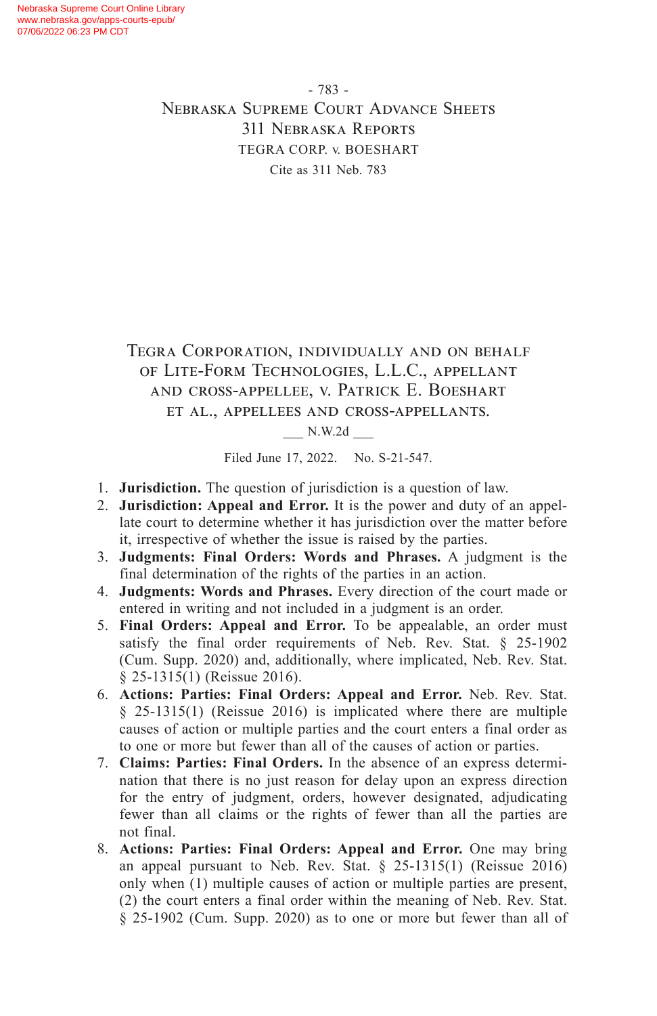- 783 - Nebraska Supreme Court Advance Sheets 311 Nebraska Reports TEGRA CORP. v. BOESHART Cite as 311 Neb. 783

# Tegra Corporation, individually and on behalf of Lite-Form Technologies, L.L.C., appellant and cross-appellee, v. Patrick E. Boeshart et al., appellees and cross-appellants.

\_\_\_ N.W.2d \_\_\_

Filed June 17, 2022. No. S-21-547.

- 1. **Jurisdiction.** The question of jurisdiction is a question of law.
- 2. **Jurisdiction: Appeal and Error.** It is the power and duty of an appellate court to determine whether it has jurisdiction over the matter before it, irrespective of whether the issue is raised by the parties.
- 3. **Judgments: Final Orders: Words and Phrases.** A judgment is the final determination of the rights of the parties in an action.
- 4. **Judgments: Words and Phrases.** Every direction of the court made or entered in writing and not included in a judgment is an order.
- 5. **Final Orders: Appeal and Error.** To be appealable, an order must satisfy the final order requirements of Neb. Rev. Stat. § 25-1902 (Cum. Supp. 2020) and, additionally, where implicated, Neb. Rev. Stat. § 25-1315(1) (Reissue 2016).
- 6. **Actions: Parties: Final Orders: Appeal and Error.** Neb. Rev. Stat. § 25-1315(1) (Reissue 2016) is implicated where there are multiple causes of action or multiple parties and the court enters a final order as to one or more but fewer than all of the causes of action or parties.
- 7. **Claims: Parties: Final Orders.** In the absence of an express determination that there is no just reason for delay upon an express direction for the entry of judgment, orders, however designated, adjudicating fewer than all claims or the rights of fewer than all the parties are not final.
- 8. **Actions: Parties: Final Orders: Appeal and Error.** One may bring an appeal pursuant to Neb. Rev. Stat. § 25-1315(1) (Reissue 2016) only when (1) multiple causes of action or multiple parties are present, (2) the court enters a final order within the meaning of Neb. Rev. Stat. § 25-1902 (Cum. Supp. 2020) as to one or more but fewer than all of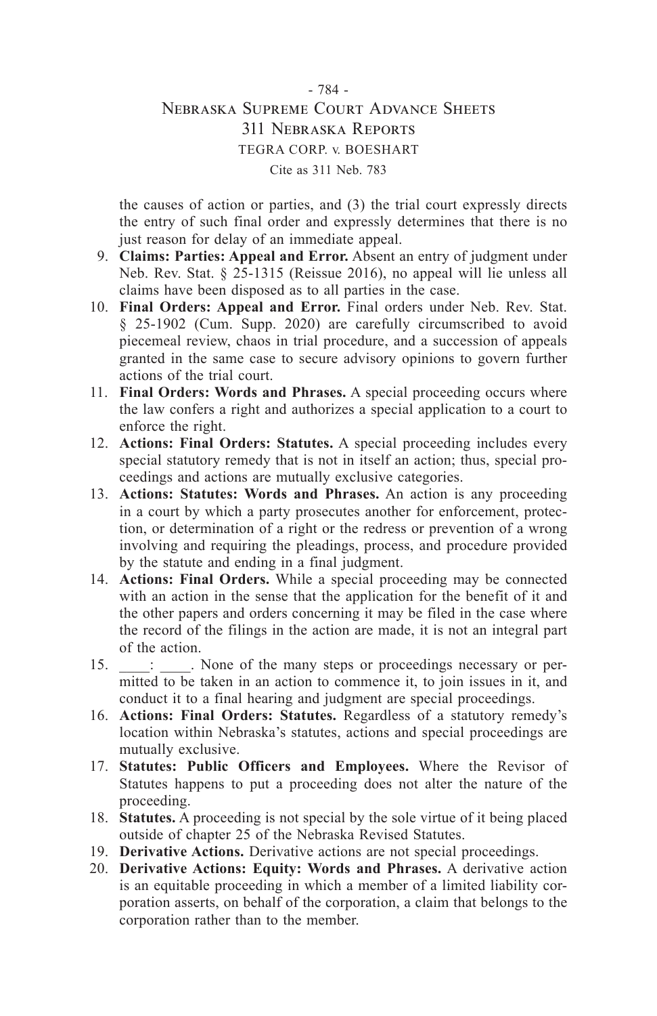# - 784 - Nebraska Supreme Court Advance Sheets 311 Nebraska Reports TEGRA CORP. v. BOESHART Cite as 311 Neb. 783

the causes of action or parties, and (3) the trial court expressly directs the entry of such final order and expressly determines that there is no just reason for delay of an immediate appeal.

- 9. **Claims: Parties: Appeal and Error.** Absent an entry of judgment under Neb. Rev. Stat. § 25-1315 (Reissue 2016), no appeal will lie unless all claims have been disposed as to all parties in the case.
- 10. **Final Orders: Appeal and Error.** Final orders under Neb. Rev. Stat. § 25-1902 (Cum. Supp. 2020) are carefully circumscribed to avoid piecemeal review, chaos in trial procedure, and a succession of appeals granted in the same case to secure advisory opinions to govern further actions of the trial court.
- 11. **Final Orders: Words and Phrases.** A special proceeding occurs where the law confers a right and authorizes a special application to a court to enforce the right.
- 12. **Actions: Final Orders: Statutes.** A special proceeding includes every special statutory remedy that is not in itself an action; thus, special proceedings and actions are mutually exclusive categories.
- 13. **Actions: Statutes: Words and Phrases.** An action is any proceeding in a court by which a party prosecutes another for enforcement, protection, or determination of a right or the redress or prevention of a wrong involving and requiring the pleadings, process, and procedure provided by the statute and ending in a final judgment.
- 14. **Actions: Final Orders.** While a special proceeding may be connected with an action in the sense that the application for the benefit of it and the other papers and orders concerning it may be filed in the case where the record of the filings in the action are made, it is not an integral part of the action.
- 15.  $\therefore$  None of the many steps or proceedings necessary or permitted to be taken in an action to commence it, to join issues in it, and conduct it to a final hearing and judgment are special proceedings.
- 16. **Actions: Final Orders: Statutes.** Regardless of a statutory remedy's location within Nebraska's statutes, actions and special proceedings are mutually exclusive.
- 17. **Statutes: Public Officers and Employees.** Where the Revisor of Statutes happens to put a proceeding does not alter the nature of the proceeding.
- 18. **Statutes.** A proceeding is not special by the sole virtue of it being placed outside of chapter 25 of the Nebraska Revised Statutes.
- 19. **Derivative Actions.** Derivative actions are not special proceedings.
- 20. **Derivative Actions: Equity: Words and Phrases.** A derivative action is an equitable proceeding in which a member of a limited liability corporation asserts, on behalf of the corporation, a claim that belongs to the corporation rather than to the member.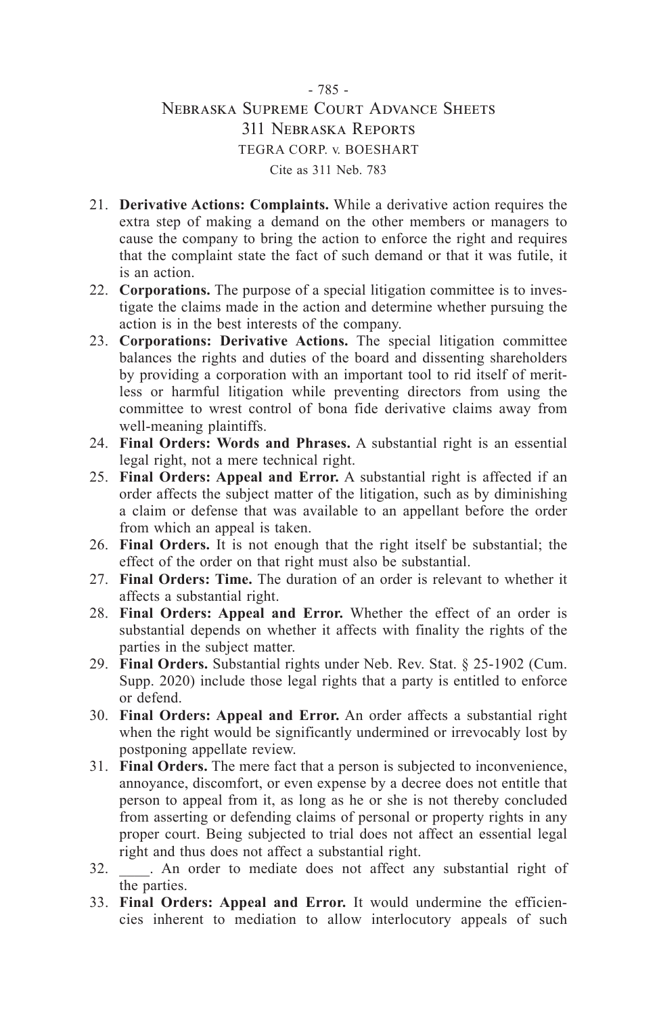# - 785 - Nebraska Supreme Court Advance Sheets 311 Nebraska Reports TEGRA CORP. v. BOESHART Cite as 311 Neb. 783

- 21. **Derivative Actions: Complaints.** While a derivative action requires the extra step of making a demand on the other members or managers to cause the company to bring the action to enforce the right and requires that the complaint state the fact of such demand or that it was futile, it is an action.
- 22. **Corporations.** The purpose of a special litigation committee is to investigate the claims made in the action and determine whether pursuing the action is in the best interests of the company.
- 23. **Corporations: Derivative Actions.** The special litigation committee balances the rights and duties of the board and dissenting shareholders by providing a corporation with an important tool to rid itself of meritless or harmful litigation while preventing directors from using the committee to wrest control of bona fide derivative claims away from well-meaning plaintiffs.
- 24. **Final Orders: Words and Phrases.** A substantial right is an essential legal right, not a mere technical right.
- 25. **Final Orders: Appeal and Error.** A substantial right is affected if an order affects the subject matter of the litigation, such as by diminishing a claim or defense that was available to an appellant before the order from which an appeal is taken.
- 26. **Final Orders.** It is not enough that the right itself be substantial; the effect of the order on that right must also be substantial.
- 27. **Final Orders: Time.** The duration of an order is relevant to whether it affects a substantial right.
- 28. **Final Orders: Appeal and Error.** Whether the effect of an order is substantial depends on whether it affects with finality the rights of the parties in the subject matter.
- 29. **Final Orders.** Substantial rights under Neb. Rev. Stat. § 25-1902 (Cum. Supp. 2020) include those legal rights that a party is entitled to enforce or defend.
- 30. **Final Orders: Appeal and Error.** An order affects a substantial right when the right would be significantly undermined or irrevocably lost by postponing appellate review.
- 31. **Final Orders.** The mere fact that a person is subjected to inconvenience, annoyance, discomfort, or even expense by a decree does not entitle that person to appeal from it, as long as he or she is not thereby concluded from asserting or defending claims of personal or property rights in any proper court. Being subjected to trial does not affect an essential legal right and thus does not affect a substantial right.
- 32. \_\_\_\_. An order to mediate does not affect any substantial right of the parties.
- 33. **Final Orders: Appeal and Error.** It would undermine the efficiencies inherent to mediation to allow interlocutory appeals of such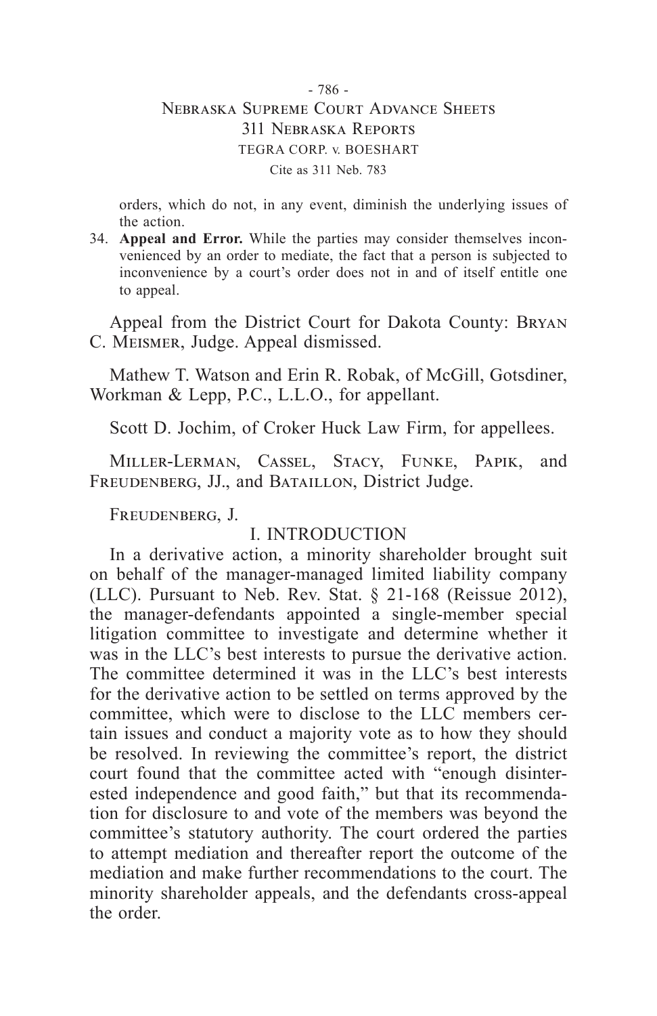## - 786 - Nebraska Supreme Court Advance Sheets 311 Nebraska Reports TEGRA CORP. v. BOESHART Cite as 311 Neb. 783

orders, which do not, in any event, diminish the underlying issues of the action.

34. **Appeal and Error.** While the parties may consider themselves inconvenienced by an order to mediate, the fact that a person is subjected to inconvenience by a court's order does not in and of itself entitle one to appeal.

Appeal from the District Court for Dakota County: Bryan C. Meismer, Judge. Appeal dismissed.

Mathew T. Watson and Erin R. Robak, of McGill, Gotsdiner, Workman & Lepp, P.C., L.L.O., for appellant.

Scott D. Jochim, of Croker Huck Law Firm, for appellees.

Miller-Lerman, Cassel, Stacy, Funke, Papik, and FREUDENBERG, JJ., and BATAILLON, District Judge.

Freudenberg, J.

# I. INTRODUCTION

In a derivative action, a minority shareholder brought suit on behalf of the manager-managed limited liability company (LLC). Pursuant to Neb. Rev. Stat. § 21-168 (Reissue 2012), the manager-defendants appointed a single-member special litigation committee to investigate and determine whether it was in the LLC's best interests to pursue the derivative action. The committee determined it was in the LLC's best interests for the derivative action to be settled on terms approved by the committee, which were to disclose to the LLC members certain issues and conduct a majority vote as to how they should be resolved. In reviewing the committee's report, the district court found that the committee acted with "enough disinterested independence and good faith," but that its recommendation for disclosure to and vote of the members was beyond the committee's statutory authority. The court ordered the parties to attempt mediation and thereafter report the outcome of the mediation and make further recommendations to the court. The minority shareholder appeals, and the defendants cross-appeal the order.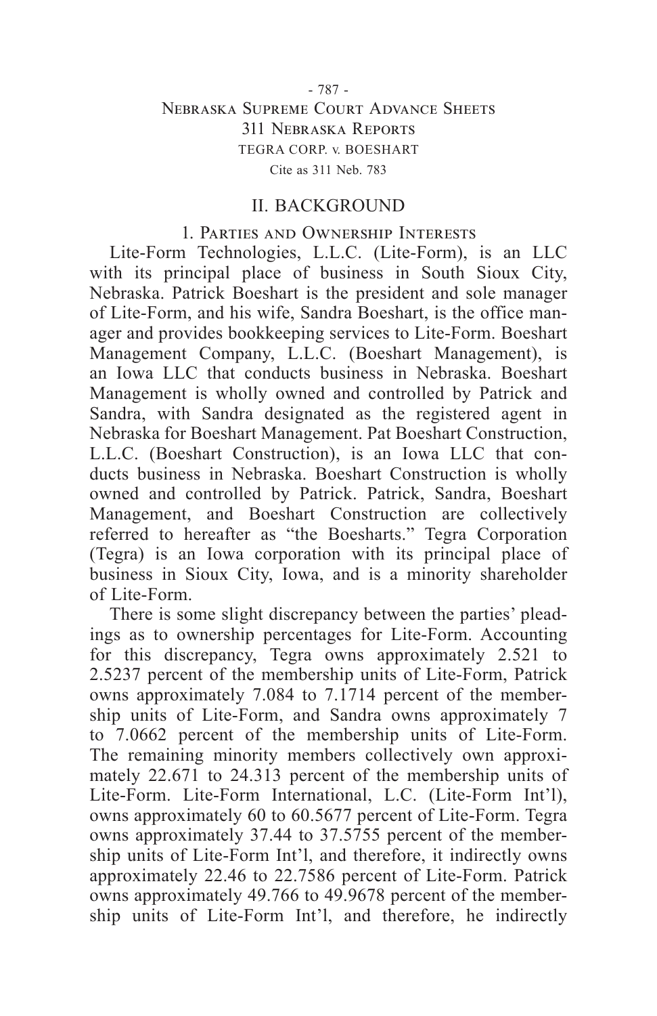### - 787 - Nebraska Supreme Court Advance Sheets 311 Nebraska Reports TEGRA CORP. v. BOESHART Cite as 311 Neb. 783

#### II. BACKGROUND

#### 1. Parties and Ownership Interests

Lite-Form Technologies, L.L.C. (Lite-Form), is an LLC with its principal place of business in South Sioux City, Nebraska. Patrick Boeshart is the president and sole manager of Lite-Form, and his wife, Sandra Boeshart, is the office manager and provides bookkeeping services to Lite-Form. Boeshart Management Company, L.L.C. (Boeshart Management), is an Iowa LLC that conducts business in Nebraska. Boeshart Management is wholly owned and controlled by Patrick and Sandra, with Sandra designated as the registered agent in Nebraska for Boeshart Management. Pat Boeshart Construction, L.L.C. (Boeshart Construction), is an Iowa LLC that conducts business in Nebraska. Boeshart Construction is wholly owned and controlled by Patrick. Patrick, Sandra, Boeshart Management, and Boeshart Construction are collectively referred to hereafter as "the Boesharts." Tegra Corporation (Tegra) is an Iowa corporation with its principal place of business in Sioux City, Iowa, and is a minority shareholder of Lite-Form.

There is some slight discrepancy between the parties' pleadings as to ownership percentages for Lite-Form. Accounting for this discrepancy, Tegra owns approximately 2.521 to 2.5237 percent of the membership units of Lite-Form, Patrick owns approximately 7.084 to 7.1714 percent of the membership units of Lite-Form, and Sandra owns approximately 7 to 7.0662 percent of the membership units of Lite-Form. The remaining minority members collectively own approximately 22.671 to 24.313 percent of the membership units of Lite-Form. Lite-Form International, L.C. (Lite-Form Int'l), owns approximately 60 to 60.5677 percent of Lite-Form. Tegra owns approximately 37.44 to 37.5755 percent of the membership units of Lite-Form Int'l, and therefore, it indirectly owns approximately 22.46 to 22.7586 percent of Lite-Form. Patrick owns approximately 49.766 to 49.9678 percent of the membership units of Lite-Form Int'l, and therefore, he indirectly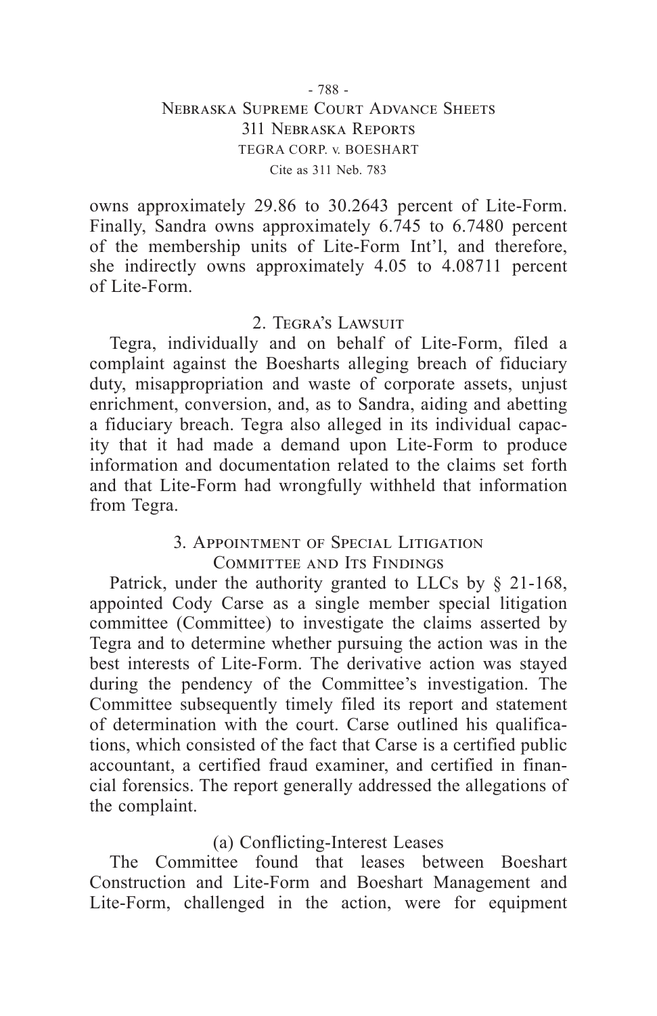### - 788 - Nebraska Supreme Court Advance Sheets 311 Nebraska Reports TEGRA CORP. v. BOESHART Cite as 311 Neb. 783

owns approximately 29.86 to 30.2643 percent of Lite-Form. Finally, Sandra owns approximately 6.745 to 6.7480 percent of the membership units of Lite-Form Int'l, and therefore, she indirectly owns approximately 4.05 to 4.08711 percent of Lite-Form.

# 2. Tegra's Lawsuit

Tegra, individually and on behalf of Lite-Form, filed a complaint against the Boesharts alleging breach of fiduciary duty, misappropriation and waste of corporate assets, unjust enrichment, conversion, and, as to Sandra, aiding and abetting a fiduciary breach. Tegra also alleged in its individual capacity that it had made a demand upon Lite-Form to produce information and documentation related to the claims set forth and that Lite-Form had wrongfully withheld that information from Tegra.

# 3. Appointment of Special Litigation

Committee and Its Findings

Patrick, under the authority granted to LLCs by § 21-168, appointed Cody Carse as a single member special litigation committee (Committee) to investigate the claims asserted by Tegra and to determine whether pursuing the action was in the best interests of Lite-Form. The derivative action was stayed during the pendency of the Committee's investigation. The Committee subsequently timely filed its report and statement of determination with the court. Carse outlined his qualifications, which consisted of the fact that Carse is a certified public accountant, a certified fraud examiner, and certified in financial forensics. The report generally addressed the allegations of the complaint.

# (a) Conflicting-Interest Leases

The Committee found that leases between Boeshart Construction and Lite-Form and Boeshart Management and Lite-Form, challenged in the action, were for equipment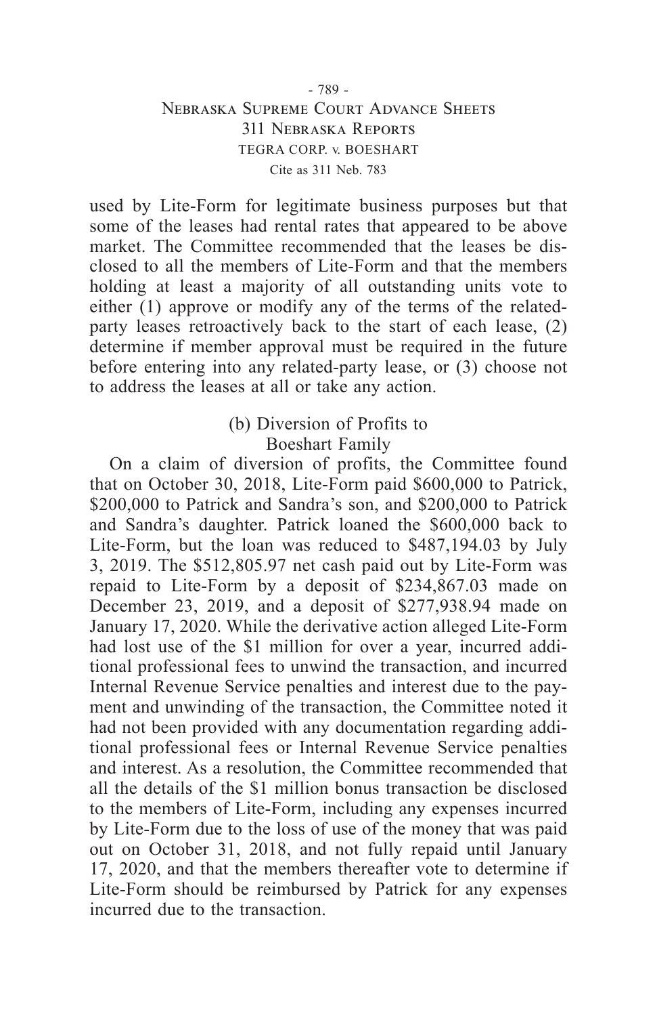## - 789 - Nebraska Supreme Court Advance Sheets 311 Nebraska Reports TEGRA CORP. v. BOESHART Cite as 311 Neb. 783

used by Lite-Form for legitimate business purposes but that some of the leases had rental rates that appeared to be above market. The Committee recommended that the leases be disclosed to all the members of Lite-Form and that the members holding at least a majority of all outstanding units vote to either (1) approve or modify any of the terms of the relatedparty leases retroactively back to the start of each lease, (2) determine if member approval must be required in the future before entering into any related-party lease, or (3) choose not to address the leases at all or take any action.

# (b) Diversion of Profits to Boeshart Family

On a claim of diversion of profits, the Committee found that on October 30, 2018, Lite-Form paid \$600,000 to Patrick, \$200,000 to Patrick and Sandra's son, and \$200,000 to Patrick and Sandra's daughter. Patrick loaned the \$600,000 back to Lite-Form, but the loan was reduced to \$487,194.03 by July 3, 2019. The \$512,805.97 net cash paid out by Lite-Form was repaid to Lite-Form by a deposit of \$234,867.03 made on December 23, 2019, and a deposit of \$277,938.94 made on January 17, 2020. While the derivative action alleged Lite-Form had lost use of the \$1 million for over a year, incurred additional professional fees to unwind the transaction, and incurred Internal Revenue Service penalties and interest due to the payment and unwinding of the transaction, the Committee noted it had not been provided with any documentation regarding additional professional fees or Internal Revenue Service penalties and interest. As a resolution, the Committee recommended that all the details of the \$1 million bonus transaction be disclosed to the members of Lite-Form, including any expenses incurred by Lite-Form due to the loss of use of the money that was paid out on October 31, 2018, and not fully repaid until January 17, 2020, and that the members thereafter vote to determine if Lite-Form should be reimbursed by Patrick for any expenses incurred due to the transaction.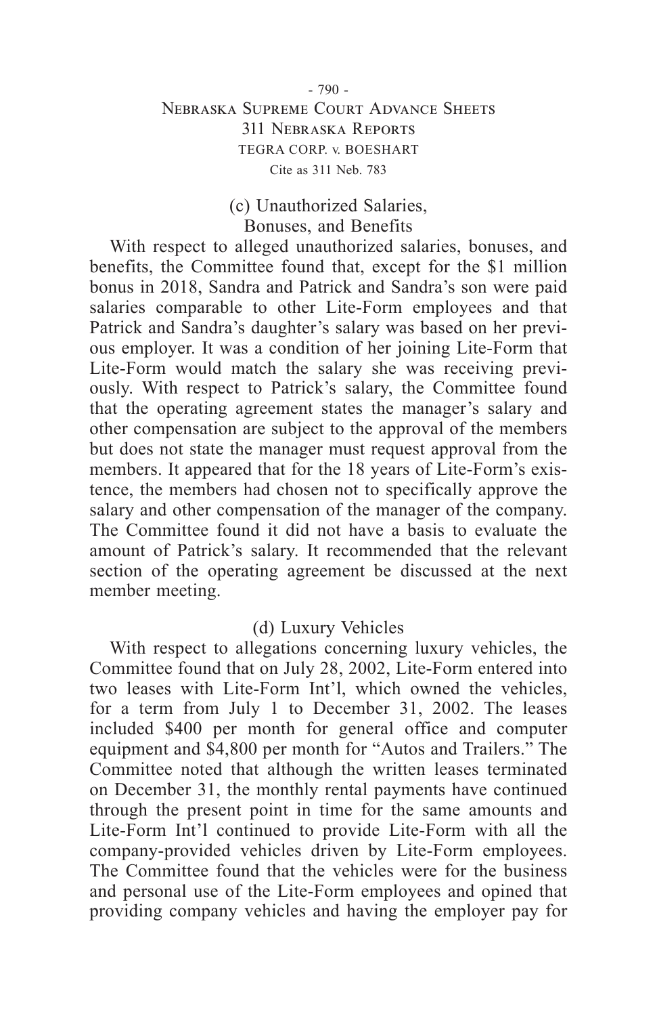# - 790 - Nebraska Supreme Court Advance Sheets 311 Nebraska Reports TEGRA CORP. v. BOESHART Cite as 311 Neb. 783

# (c) Unauthorized Salaries, Bonuses, and Benefits

With respect to alleged unauthorized salaries, bonuses, and benefits, the Committee found that, except for the \$1 million bonus in 2018, Sandra and Patrick and Sandra's son were paid salaries comparable to other Lite-Form employees and that Patrick and Sandra's daughter's salary was based on her previous employer. It was a condition of her joining Lite-Form that Lite-Form would match the salary she was receiving previously. With respect to Patrick's salary, the Committee found that the operating agreement states the manager's salary and other compensation are subject to the approval of the members but does not state the manager must request approval from the members. It appeared that for the 18 years of Lite-Form's existence, the members had chosen not to specifically approve the salary and other compensation of the manager of the company. The Committee found it did not have a basis to evaluate the amount of Patrick's salary. It recommended that the relevant section of the operating agreement be discussed at the next member meeting.

# (d) Luxury Vehicles

With respect to allegations concerning luxury vehicles, the Committee found that on July 28, 2002, Lite-Form entered into two leases with Lite-Form Int'l, which owned the vehicles, for a term from July 1 to December 31, 2002. The leases included \$400 per month for general office and computer equipment and \$4,800 per month for "Autos and Trailers." The Committee noted that although the written leases terminated on December 31, the monthly rental payments have continued through the present point in time for the same amounts and Lite-Form Int'l continued to provide Lite-Form with all the company-provided vehicles driven by Lite-Form employees. The Committee found that the vehicles were for the business and personal use of the Lite-Form employees and opined that providing company vehicles and having the employer pay for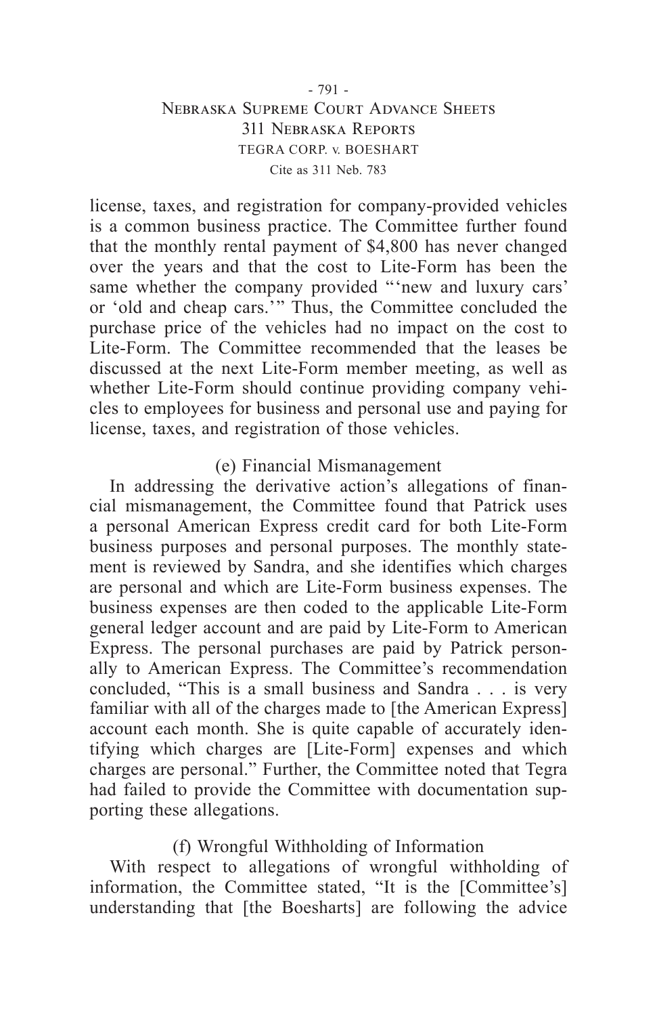### - 791 - Nebraska Supreme Court Advance Sheets 311 Nebraska Reports TEGRA CORP. v. BOESHART Cite as 311 Neb. 783

license, taxes, and registration for company-provided vehicles is a common business practice. The Committee further found that the monthly rental payment of \$4,800 has never changed over the years and that the cost to Lite-Form has been the same whether the company provided "'new and luxury cars' or 'old and cheap cars.'" Thus, the Committee concluded the purchase price of the vehicles had no impact on the cost to Lite-Form. The Committee recommended that the leases be discussed at the next Lite-Form member meeting, as well as whether Lite-Form should continue providing company vehicles to employees for business and personal use and paying for license, taxes, and registration of those vehicles.

## (e) Financial Mismanagement

In addressing the derivative action's allegations of financial mismanagement, the Committee found that Patrick uses a personal American Express credit card for both Lite-Form business purposes and personal purposes. The monthly statement is reviewed by Sandra, and she identifies which charges are personal and which are Lite-Form business expenses. The business expenses are then coded to the applicable Lite-Form general ledger account and are paid by Lite-Form to American Express. The personal purchases are paid by Patrick personally to American Express. The Committee's recommendation concluded, "This is a small business and Sandra . . . is very familiar with all of the charges made to [the American Express] account each month. She is quite capable of accurately identifying which charges are [Lite-Form] expenses and which charges are personal." Further, the Committee noted that Tegra had failed to provide the Committee with documentation supporting these allegations.

# (f) Wrongful Withholding of Information

With respect to allegations of wrongful withholding of information, the Committee stated, "It is the [Committee's] understanding that [the Boesharts] are following the advice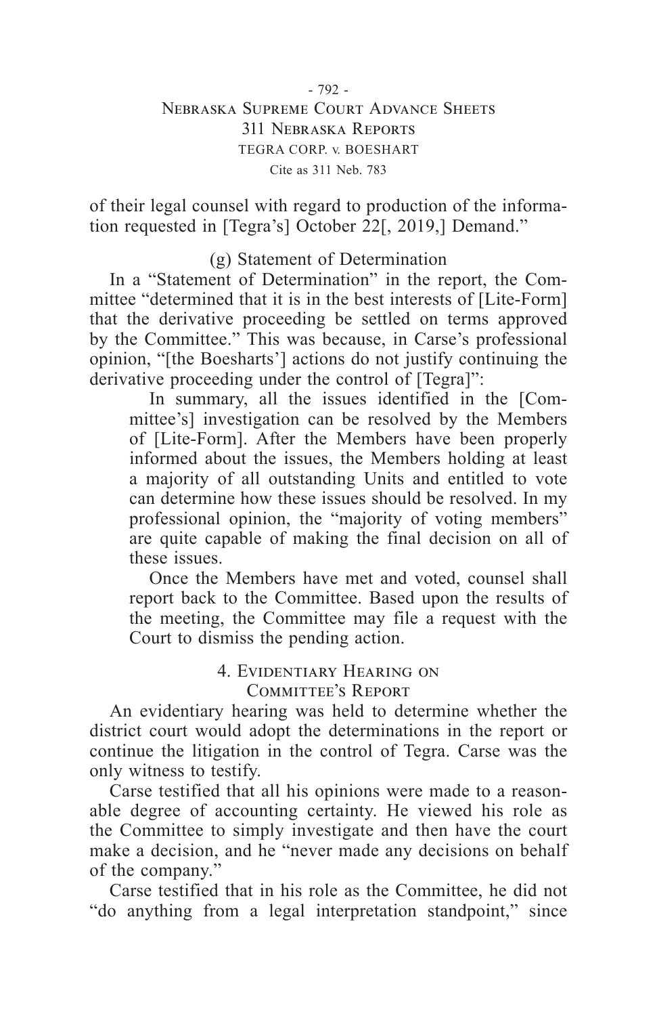# Nebraska Supreme Court Advance Sheets 311 Nebraska Reports TEGRA CORP. v. BOESHART Cite as 311 Neb. 783

of their legal counsel with regard to production of the information requested in [Tegra's] October 22[, 2019,] Demand."

(g) Statement of Determination

In a "Statement of Determination" in the report, the Committee "determined that it is in the best interests of [Lite-Form] that the derivative proceeding be settled on terms approved by the Committee." This was because, in Carse's professional opinion, "[the Boesharts'] actions do not justify continuing the derivative proceeding under the control of [Tegra]":

In summary, all the issues identified in the [Committee's] investigation can be resolved by the Members of [Lite-Form]. After the Members have been properly informed about the issues, the Members holding at least a majority of all outstanding Units and entitled to vote can determine how these issues should be resolved. In my professional opinion, the "majority of voting members" are quite capable of making the final decision on all of these issues.

Once the Members have met and voted, counsel shall report back to the Committee. Based upon the results of the meeting, the Committee may file a request with the Court to dismiss the pending action.

# 4. Evidentiary Hearing on Committee's Report

An evidentiary hearing was held to determine whether the district court would adopt the determinations in the report or continue the litigation in the control of Tegra. Carse was the only witness to testify.

Carse testified that all his opinions were made to a reasonable degree of accounting certainty. He viewed his role as the Committee to simply investigate and then have the court make a decision, and he "never made any decisions on behalf of the company."

Carse testified that in his role as the Committee, he did not "do anything from a legal interpretation standpoint," since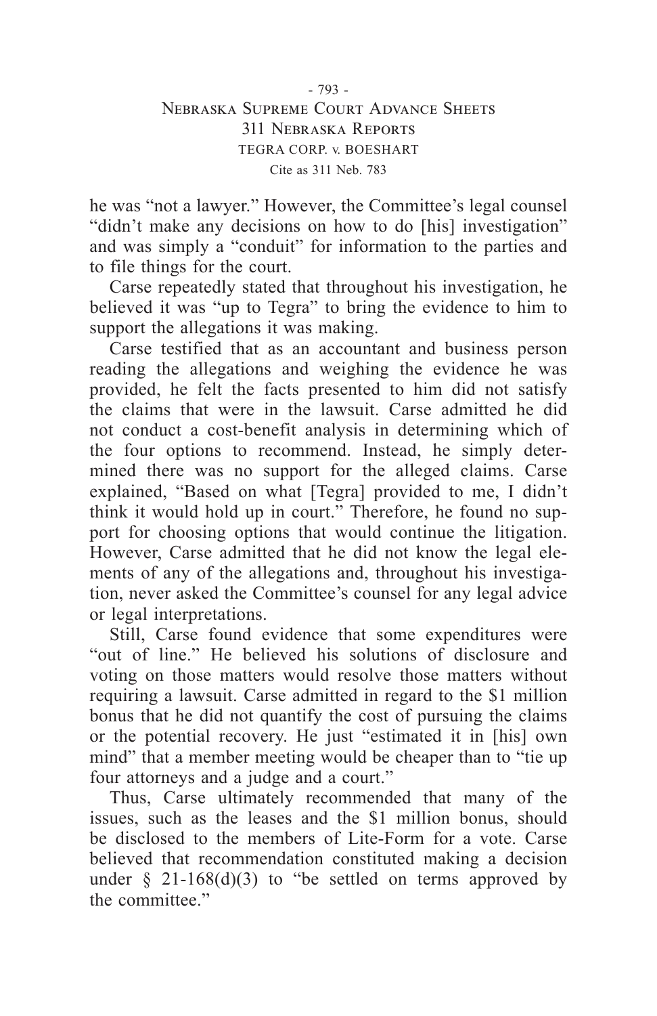### - 793 - Nebraska Supreme Court Advance Sheets 311 Nebraska Reports TEGRA CORP. v. BOESHART Cite as 311 Neb. 783

he was "not a lawyer." However, the Committee's legal counsel "didn't make any decisions on how to do [his] investigation" and was simply a "conduit" for information to the parties and to file things for the court.

Carse repeatedly stated that throughout his investigation, he believed it was "up to Tegra" to bring the evidence to him to support the allegations it was making.

Carse testified that as an accountant and business person reading the allegations and weighing the evidence he was provided, he felt the facts presented to him did not satisfy the claims that were in the lawsuit. Carse admitted he did not conduct a cost-benefit analysis in determining which of the four options to recommend. Instead, he simply determined there was no support for the alleged claims. Carse explained, "Based on what [Tegra] provided to me, I didn't think it would hold up in court." Therefore, he found no support for choosing options that would continue the litigation. However, Carse admitted that he did not know the legal elements of any of the allegations and, throughout his investigation, never asked the Committee's counsel for any legal advice or legal interpretations.

Still, Carse found evidence that some expenditures were "out of line." He believed his solutions of disclosure and voting on those matters would resolve those matters without requiring a lawsuit. Carse admitted in regard to the \$1 million bonus that he did not quantify the cost of pursuing the claims or the potential recovery. He just "estimated it in [his] own mind" that a member meeting would be cheaper than to "tie up four attorneys and a judge and a court."

Thus, Carse ultimately recommended that many of the issues, such as the leases and the \$1 million bonus, should be disclosed to the members of Lite-Form for a vote. Carse believed that recommendation constituted making a decision under  $\S$  21-168(d)(3) to "be settled on terms approved by the committee."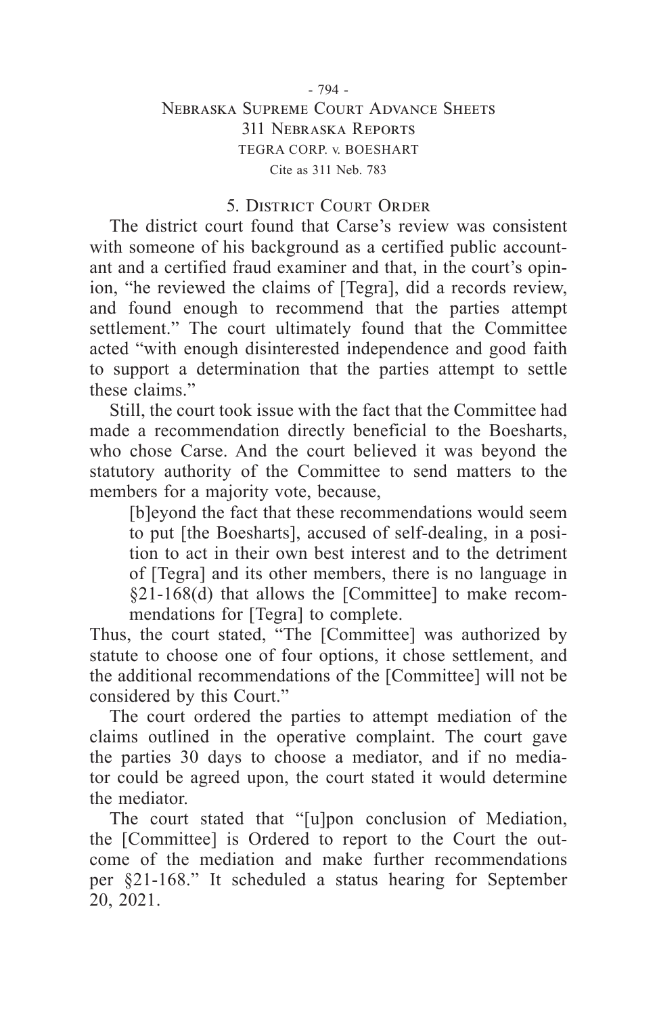### - 794 - Nebraska Supreme Court Advance Sheets 311 Nebraska Reports TEGRA CORP. v. BOESHART Cite as 311 Neb. 783

# 5. District Court Order

The district court found that Carse's review was consistent with someone of his background as a certified public accountant and a certified fraud examiner and that, in the court's opinion, "he reviewed the claims of [Tegra], did a records review, and found enough to recommend that the parties attempt settlement." The court ultimately found that the Committee acted "with enough disinterested independence and good faith to support a determination that the parties attempt to settle these claims."

Still, the court took issue with the fact that the Committee had made a recommendation directly beneficial to the Boesharts, who chose Carse. And the court believed it was beyond the statutory authority of the Committee to send matters to the members for a majority vote, because,

[b]eyond the fact that these recommendations would seem to put [the Boesharts], accused of self-dealing, in a position to act in their own best interest and to the detriment of [Tegra] and its other members, there is no language in §21-168(d) that allows the [Committee] to make recommendations for [Tegra] to complete.

Thus, the court stated, "The [Committee] was authorized by statute to choose one of four options, it chose settlement, and the additional recommendations of the [Committee] will not be considered by this Court."

The court ordered the parties to attempt mediation of the claims outlined in the operative complaint. The court gave the parties 30 days to choose a mediator, and if no mediator could be agreed upon, the court stated it would determine the mediator.

The court stated that "[u]pon conclusion of Mediation, the [Committee] is Ordered to report to the Court the outcome of the mediation and make further recommendations per §21-168." It scheduled a status hearing for September 20, 2021.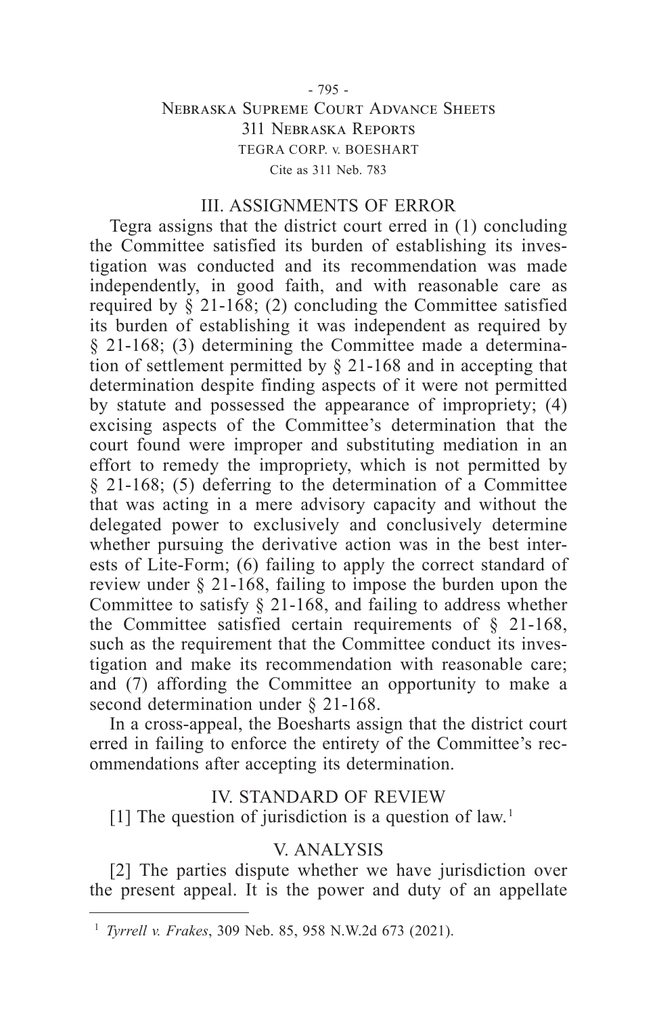### - 795 - Nebraska Supreme Court Advance Sheets 311 Nebraska Reports TEGRA CORP. v. BOESHART Cite as 311 Neb. 783

### III. ASSIGNMENTS OF ERROR

Tegra assigns that the district court erred in (1) concluding the Committee satisfied its burden of establishing its investigation was conducted and its recommendation was made independently, in good faith, and with reasonable care as required by  $\S$  21-168; (2) concluding the Committee satisfied its burden of establishing it was independent as required by § 21-168; (3) determining the Committee made a determination of settlement permitted by § 21-168 and in accepting that determination despite finding aspects of it were not permitted by statute and possessed the appearance of impropriety; (4) excising aspects of the Committee's determination that the court found were improper and substituting mediation in an effort to remedy the impropriety, which is not permitted by § 21-168; (5) deferring to the determination of a Committee that was acting in a mere advisory capacity and without the delegated power to exclusively and conclusively determine whether pursuing the derivative action was in the best interests of Lite-Form; (6) failing to apply the correct standard of review under § 21-168, failing to impose the burden upon the Committee to satisfy  $\S$  21-168, and failing to address whether the Committee satisfied certain requirements of § 21-168, such as the requirement that the Committee conduct its investigation and make its recommendation with reasonable care; and (7) affording the Committee an opportunity to make a second determination under § 21-168.

In a cross-appeal, the Boesharts assign that the district court erred in failing to enforce the entirety of the Committee's recommendations after accepting its determination.

#### IV. STANDARD OF REVIEW

[1] The question of jurisdiction is a question of law.<sup>1</sup>

# V. ANALYSIS

[2] The parties dispute whether we have jurisdiction over the present appeal. It is the power and duty of an appellate

<sup>1</sup> *Tyrrell v. Frakes*, 309 Neb. 85, 958 N.W.2d 673 (2021).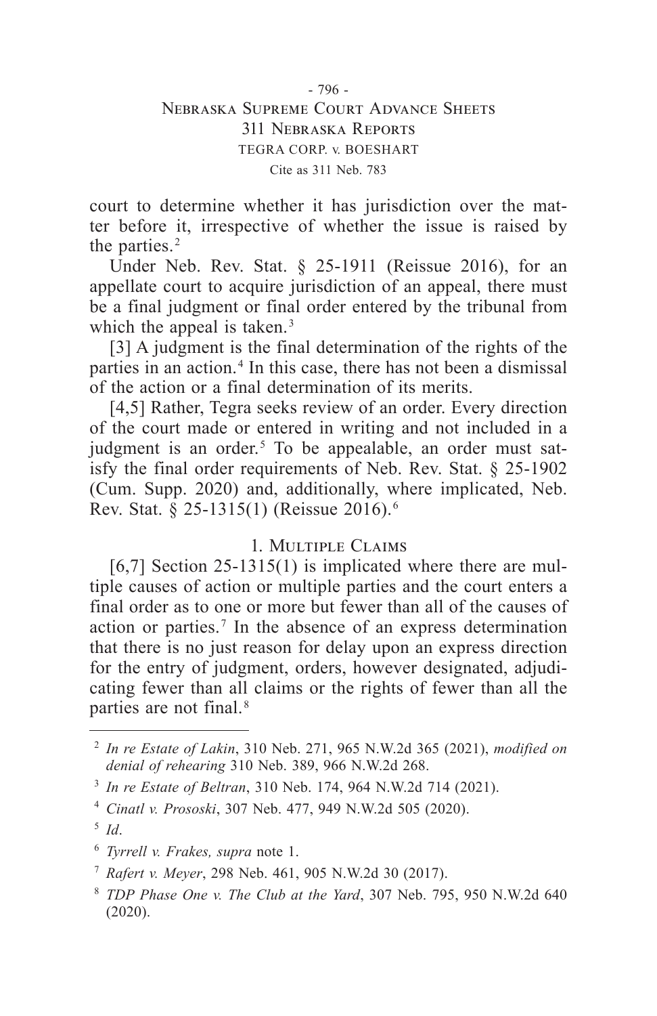## - 796 - Nebraska Supreme Court Advance Sheets 311 Nebraska Reports TEGRA CORP. v. BOESHART Cite as 311 Neb. 783

court to determine whether it has jurisdiction over the matter before it, irrespective of whether the issue is raised by the parties.<sup>2</sup>

Under Neb. Rev. Stat. § 25-1911 (Reissue 2016), for an appellate court to acquire jurisdiction of an appeal, there must be a final judgment or final order entered by the tribunal from which the appeal is taken.<sup>3</sup>

[3] A judgment is the final determination of the rights of the parties in an action. 4 In this case, there has not been a dismissal of the action or a final determination of its merits.

[4,5] Rather, Tegra seeks review of an order. Every direction of the court made or entered in writing and not included in a judgment is an order.<sup>5</sup> To be appealable, an order must satisfy the final order requirements of Neb. Rev. Stat. § 25-1902 (Cum. Supp. 2020) and, additionally, where implicated, Neb. Rev. Stat. § 25-1315(1) (Reissue 2016). 6

# 1. Multiple Claims

 $[6,7]$  Section 25-1315(1) is implicated where there are multiple causes of action or multiple parties and the court enters a final order as to one or more but fewer than all of the causes of action or parties. 7 In the absence of an express determination that there is no just reason for delay upon an express direction for the entry of judgment, orders, however designated, adjudicating fewer than all claims or the rights of fewer than all the parties are not final. 8

<sup>2</sup> *In re Estate of Lakin*, 310 Neb. 271, 965 N.W.2d 365 (2021), *modified on denial of rehearing* 310 Neb. 389, 966 N.W.2d 268.

<sup>3</sup> *In re Estate of Beltran*, 310 Neb. 174, 964 N.W.2d 714 (2021).

<sup>4</sup> *Cinatl v. Prososki*, 307 Neb. 477, 949 N.W.2d 505 (2020).

<sup>5</sup> *Id*.

<sup>6</sup> *Tyrrell v. Frakes, supra* note 1.

<sup>7</sup> *Rafert v. Meyer*, 298 Neb. 461, 905 N.W.2d 30 (2017).

<sup>8</sup> *TDP Phase One v. The Club at the Yard*, 307 Neb. 795, 950 N.W.2d 640 (2020).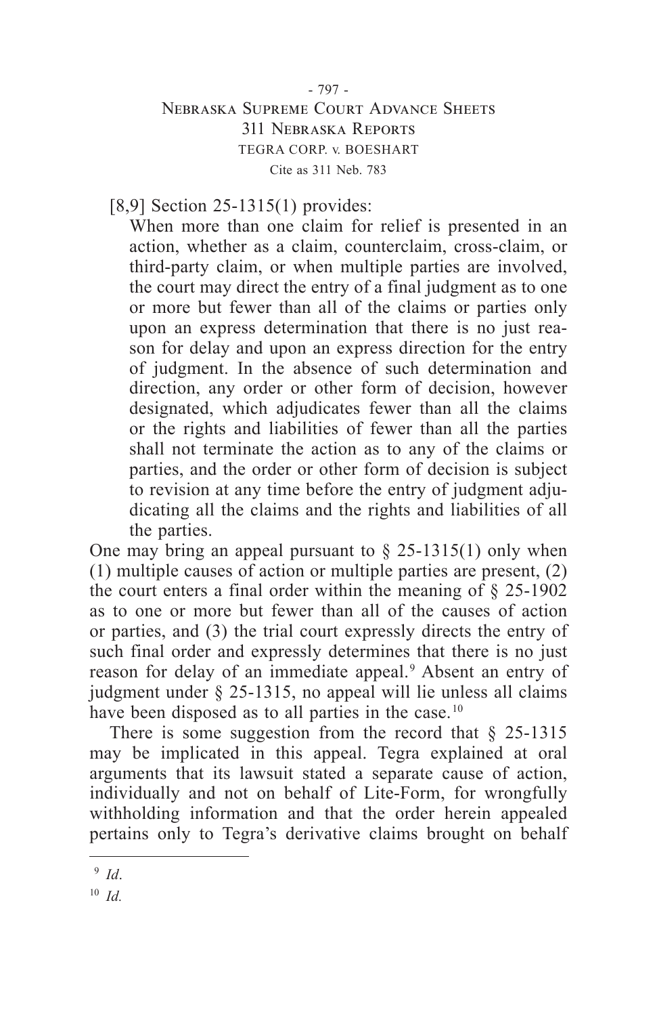# - 797 - Nebraska Supreme Court Advance Sheets 311 Nebraska Reports TEGRA CORP. v. BOESHART Cite as 311 Neb. 783

[8,9] Section 25-1315(1) provides:

When more than one claim for relief is presented in an action, whether as a claim, counterclaim, cross-claim, or third-party claim, or when multiple parties are involved, the court may direct the entry of a final judgment as to one or more but fewer than all of the claims or parties only upon an express determination that there is no just reason for delay and upon an express direction for the entry of judgment. In the absence of such determination and direction, any order or other form of decision, however designated, which adjudicates fewer than all the claims or the rights and liabilities of fewer than all the parties shall not terminate the action as to any of the claims or parties, and the order or other form of decision is subject to revision at any time before the entry of judgment adjudicating all the claims and the rights and liabilities of all the parties.

One may bring an appeal pursuant to  $\S$  25-1315(1) only when (1) multiple causes of action or multiple parties are present, (2) the court enters a final order within the meaning of  $\S$  25-1902 as to one or more but fewer than all of the causes of action or parties, and (3) the trial court expressly directs the entry of such final order and expressly determines that there is no just reason for delay of an immediate appeal. 9 Absent an entry of judgment under § 25-1315, no appeal will lie unless all claims have been disposed as to all parties in the case.<sup>10</sup>

There is some suggestion from the record that  $\S$  25-1315 may be implicated in this appeal. Tegra explained at oral arguments that its lawsuit stated a separate cause of action, individually and not on behalf of Lite-Form, for wrongfully withholding information and that the order herein appealed pertains only to Tegra's derivative claims brought on behalf

<sup>9</sup> *Id*.

<sup>10</sup> *Id.*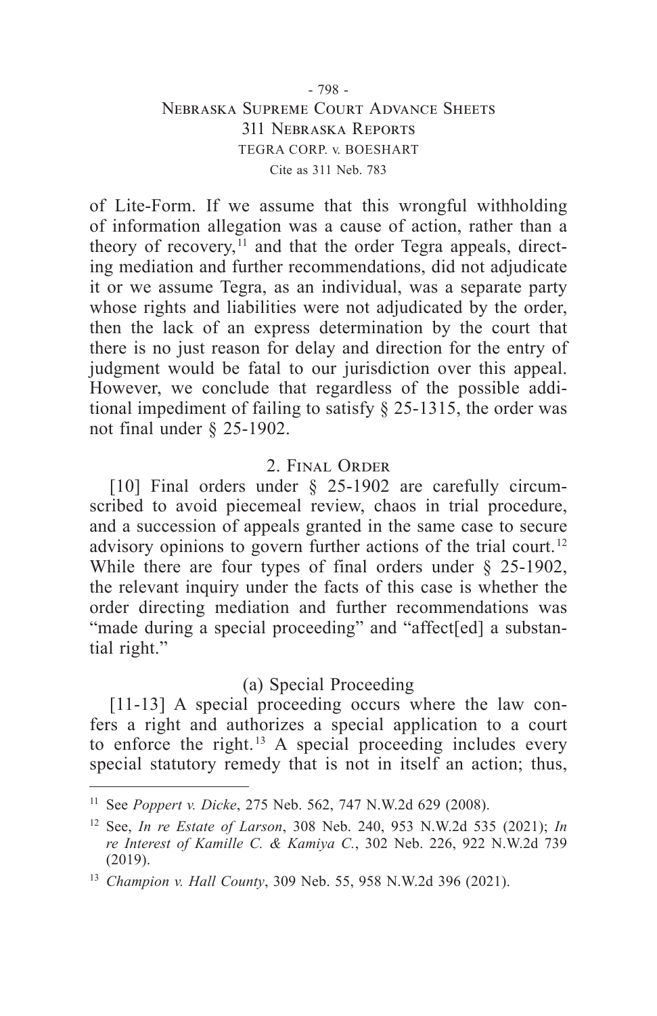### - 798 - Nebraska Supreme Court Advance Sheets 311 Nebraska Reports TEGRA CORP. v. BOESHART Cite as 311 Neb. 783

of Lite-Form. If we assume that this wrongful withholding of information allegation was a cause of action, rather than a theory of recovery, $^{11}$  and that the order Tegra appeals, directing mediation and further recommendations, did not adjudicate it or we assume Tegra, as an individual, was a separate party whose rights and liabilities were not adjudicated by the order, then the lack of an express determination by the court that there is no just reason for delay and direction for the entry of judgment would be fatal to our jurisdiction over this appeal. However, we conclude that regardless of the possible additional impediment of failing to satisfy § 25-1315, the order was not final under § 25-1902.

# 2. Final Order

[10] Final orders under § 25-1902 are carefully circumscribed to avoid piecemeal review, chaos in trial procedure, and a succession of appeals granted in the same case to secure advisory opinions to govern further actions of the trial court.<sup>12</sup> While there are four types of final orders under § 25-1902, the relevant inquiry under the facts of this case is whether the order directing mediation and further recommendations was "made during a special proceeding" and "affect[ed] a substantial right."

## (a) Special Proceeding

[11-13] A special proceeding occurs where the law confers a right and authorizes a special application to a court to enforce the right.<sup>13</sup> A special proceeding includes every special statutory remedy that is not in itself an action; thus,

<sup>11</sup> See *Poppert v. Dicke*, 275 Neb. 562, 747 N.W.2d 629 (2008).

<sup>12</sup> See, *In re Estate of Larson*, 308 Neb. 240, 953 N.W.2d 535 (2021); *In re Interest of Kamille C. & Kamiya C.*, 302 Neb. 226, 922 N.W.2d 739 (2019).

<sup>13</sup> *Champion v. Hall County*, 309 Neb. 55, 958 N.W.2d 396 (2021).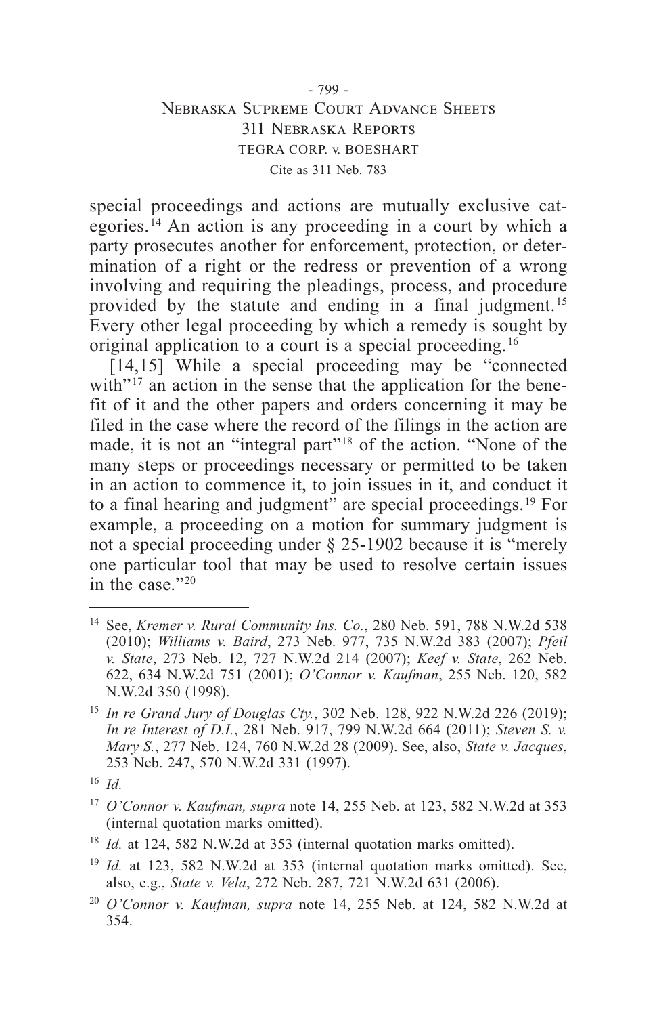### - 799 - Nebraska Supreme Court Advance Sheets 311 Nebraska Reports TEGRA CORP. v. BOESHART Cite as 311 Neb. 783

special proceedings and actions are mutually exclusive categories. 14 An action is any proceeding in a court by which a party prosecutes another for enforcement, protection, or determination of a right or the redress or prevention of a wrong involving and requiring the pleadings, process, and procedure provided by the statute and ending in a final judgment. 15 Every other legal proceeding by which a remedy is sought by original application to a court is a special proceeding. 16

[14,15] While a special proceeding may be "connected" with" $^{17}$  an action in the sense that the application for the benefit of it and the other papers and orders concerning it may be filed in the case where the record of the filings in the action are made, it is not an "integral part"<sup>18</sup> of the action. "None of the many steps or proceedings necessary or permitted to be taken in an action to commence it, to join issues in it, and conduct it to a final hearing and judgment" are special proceedings. 19 For example, a proceeding on a motion for summary judgment is not a special proceeding under § 25-1902 because it is "merely one particular tool that may be used to resolve certain issues in the case."<sup>20</sup>

<sup>14</sup> See, *Kremer v. Rural Community Ins. Co.*, 280 Neb. 591, 788 N.W.2d 538 (2010); *Williams v. Baird*, 273 Neb. 977, 735 N.W.2d 383 (2007); *Pfeil v. State*, 273 Neb. 12, 727 N.W.2d 214 (2007); *Keef v. State*, 262 Neb. 622, 634 N.W.2d 751 (2001); *O'Connor v. Kaufman*, 255 Neb. 120, 582 N.W.2d 350 (1998).

<sup>15</sup> *In re Grand Jury of Douglas Cty.*, 302 Neb. 128, 922 N.W.2d 226 (2019); *In re Interest of D.I.*, 281 Neb. 917, 799 N.W.2d 664 (2011); *Steven S. v. Mary S.*, 277 Neb. 124, 760 N.W.2d 28 (2009). See, also, *State v. Jacques*, 253 Neb. 247, 570 N.W.2d 331 (1997).

<sup>16</sup> *Id.*

<sup>17</sup> *O'Connor v. Kaufman, supra* note 14, 255 Neb. at 123, 582 N.W.2d at 353 (internal quotation marks omitted).

<sup>&</sup>lt;sup>18</sup> *Id.* at 124, 582 N.W.2d at 353 (internal quotation marks omitted).

<sup>&</sup>lt;sup>19</sup> *Id.* at 123, 582 N.W.2d at 353 (internal quotation marks omitted). See, also, e.g., *State v. Vela*, 272 Neb. 287, 721 N.W.2d 631 (2006).

<sup>20</sup> *O'Connor v. Kaufman, supra* note 14, 255 Neb. at 124, 582 N.W.2d at 354.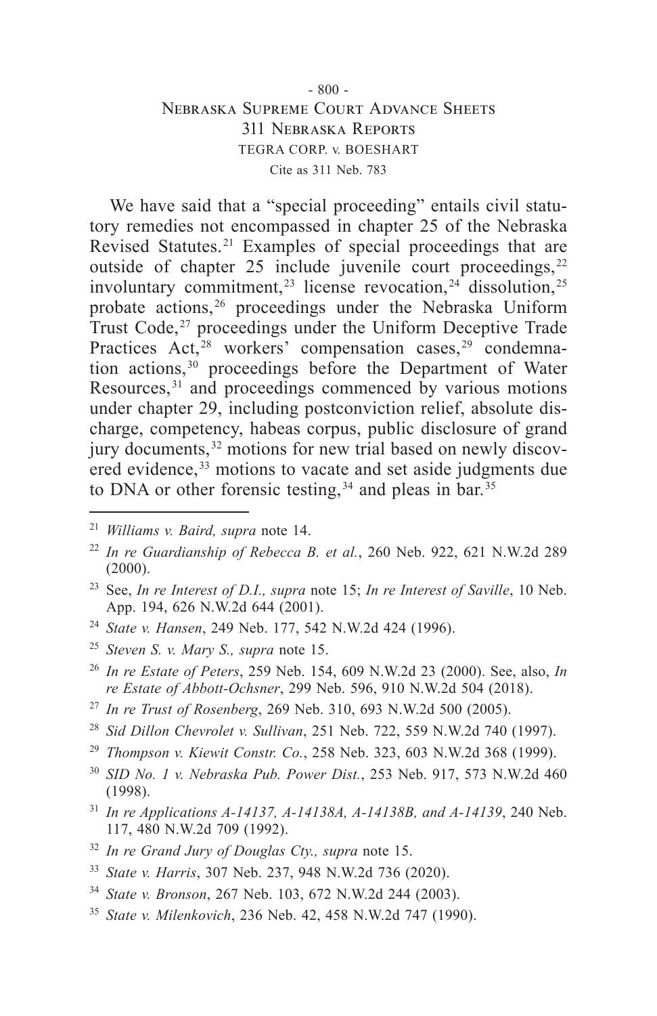# - 800 - Nebraska Supreme Court Advance Sheets 311 Nebraska Reports TEGRA CORP. v. BOESHART Cite as 311 Neb. 783

We have said that a "special proceeding" entails civil statutory remedies not encompassed in chapter 25 of the Nebraska Revised Statutes. 21 Examples of special proceedings that are outside of chapter 25 include juvenile court proceedings,<sup>22</sup> involuntary commitment,<sup>23</sup> license revocation,<sup>24</sup> dissolution,<sup>25</sup> probate actions, 26 proceedings under the Nebraska Uniform Trust Code,<sup>27</sup> proceedings under the Uniform Deceptive Trade Practices Act,<sup>28</sup> workers' compensation cases,<sup>29</sup> condemnation actions,<sup>30</sup> proceedings before the Department of Water Resources, 31 and proceedings commenced by various motions under chapter 29, including postconviction relief, absolute discharge, competency, habeas corpus, public disclosure of grand jury documents,<sup>32</sup> motions for new trial based on newly discovered evidence,<sup>33</sup> motions to vacate and set aside judgments due to DNA or other forensic testing,<sup> $34$ </sup> and pleas in bar.<sup>35</sup>

- <sup>23</sup> See, *In re Interest of D.I., supra* note 15; *In re Interest of Saville*, 10 Neb. App. 194, 626 N.W.2d 644 (2001).
- <sup>24</sup> *State v. Hansen*, 249 Neb. 177, 542 N.W.2d 424 (1996).
- <sup>25</sup> *Steven S. v. Mary S., supra* note 15.
- <sup>26</sup> *In re Estate of Peters*, 259 Neb. 154, 609 N.W.2d 23 (2000). See, also, *In re Estate of Abbott-Ochsner*, 299 Neb. 596, 910 N.W.2d 504 (2018).
- <sup>27</sup> *In re Trust of Rosenberg*, 269 Neb. 310, 693 N.W.2d 500 (2005).
- <sup>28</sup> *Sid Dillon Chevrolet v. Sullivan*, 251 Neb. 722, 559 N.W.2d 740 (1997).
- <sup>29</sup> *Thompson v. Kiewit Constr. Co.*, 258 Neb. 323, 603 N.W.2d 368 (1999).
- <sup>30</sup> *SID No. 1 v. Nebraska Pub. Power Dist.*, 253 Neb. 917, 573 N.W.2d 460 (1998).
- <sup>31</sup> *In re Applications A-14137, A-14138A, A-14138B, and A-14139*, 240 Neb. 117, 480 N.W.2d 709 (1992).
- <sup>32</sup> *In re Grand Jury of Douglas Cty., supra* note 15.
- <sup>33</sup> *State v. Harris*, 307 Neb. 237, 948 N.W.2d 736 (2020).
- <sup>34</sup> *State v. Bronson*, 267 Neb. 103, 672 N.W.2d 244 (2003).
- <sup>35</sup> *State v. Milenkovich*, 236 Neb. 42, 458 N.W.2d 747 (1990).

<sup>21</sup> *Williams v. Baird, supra* note 14.

<sup>22</sup> *In re Guardianship of Rebecca B. et al.*, 260 Neb. 922, 621 N.W.2d 289 (2000).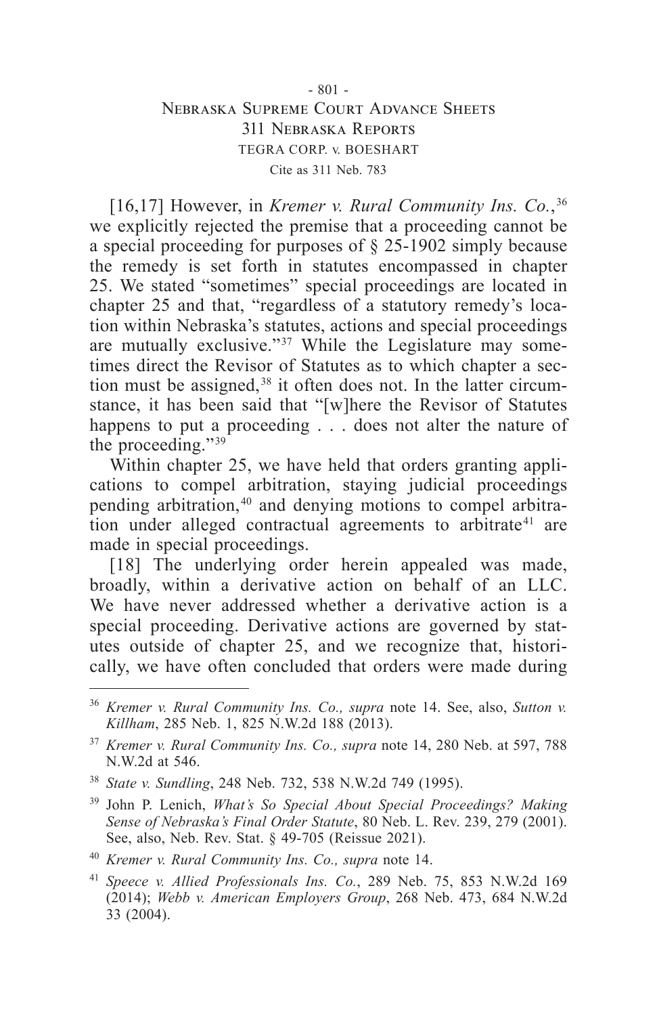### - 801 - Nebraska Supreme Court Advance Sheets 311 Nebraska Reports TEGRA CORP. v. BOESHART Cite as 311 Neb. 783

[16,17] However, in *Kremer v. Rural Community Ins. Co.*,<sup>36</sup> we explicitly rejected the premise that a proceeding cannot be a special proceeding for purposes of § 25-1902 simply because the remedy is set forth in statutes encompassed in chapter 25. We stated "sometimes" special proceedings are located in chapter 25 and that, "regardless of a statutory remedy's location within Nebraska's statutes, actions and special proceedings are mutually exclusive."<sup>37</sup> While the Legislature may sometimes direct the Revisor of Statutes as to which chapter a section must be assigned, 38 it often does not. In the latter circumstance, it has been said that "[w]here the Revisor of Statutes happens to put a proceeding . . . does not alter the nature of the proceeding."<sup>39</sup>

Within chapter 25, we have held that orders granting applications to compel arbitration, staying judicial proceedings pending arbitration,<sup>40</sup> and denying motions to compel arbitration under alleged contractual agreements to arbitrate<sup>41</sup> are made in special proceedings.

[18] The underlying order herein appealed was made, broadly, within a derivative action on behalf of an LLC. We have never addressed whether a derivative action is a special proceeding. Derivative actions are governed by statutes outside of chapter 25, and we recognize that, historically, we have often concluded that orders were made during

<sup>36</sup> *Kremer v. Rural Community Ins. Co., supra* note 14. See, also, *Sutton v. Killham*, 285 Neb. 1, 825 N.W.2d 188 (2013).

<sup>37</sup> *Kremer v. Rural Community Ins. Co., supra* note 14, 280 Neb. at 597, 788 N.W.2d at 546.

<sup>38</sup> *State v. Sundling*, 248 Neb. 732, 538 N.W.2d 749 (1995).

<sup>39</sup> John P. Lenich, *What's So Special About Special Proceedings? Making Sense of Nebraska's Final Order Statute*, 80 Neb. L. Rev. 239, 279 (2001). See, also, Neb. Rev. Stat. § 49-705 (Reissue 2021).

<sup>40</sup> *Kremer v. Rural Community Ins. Co., supra* note 14.

<sup>41</sup> *Speece v. Allied Professionals Ins. Co.*, 289 Neb. 75, 853 N.W.2d 169 (2014); *Webb v. American Employers Group*, 268 Neb. 473, 684 N.W.2d 33 (2004).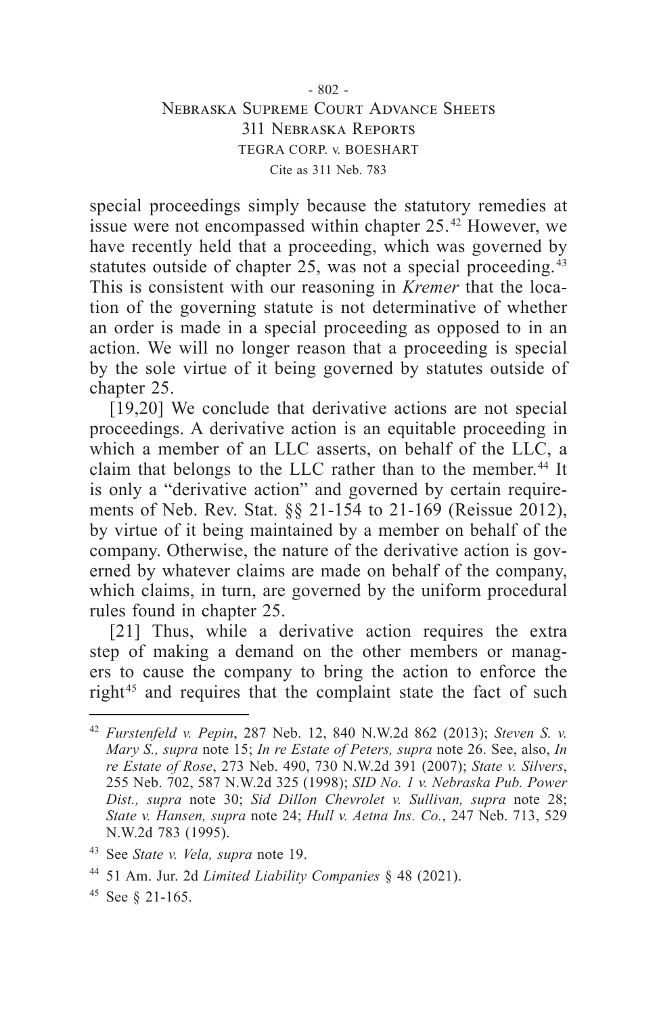### - 802 - Nebraska Supreme Court Advance Sheets 311 Nebraska Reports TEGRA CORP. v. BOESHART Cite as 311 Neb. 783

special proceedings simply because the statutory remedies at issue were not encompassed within chapter 25.<sup>42</sup> However, we have recently held that a proceeding, which was governed by statutes outside of chapter 25, was not a special proceeding.<sup>43</sup> This is consistent with our reasoning in *Kremer* that the location of the governing statute is not determinative of whether an order is made in a special proceeding as opposed to in an action. We will no longer reason that a proceeding is special by the sole virtue of it being governed by statutes outside of chapter 25.

[19,20] We conclude that derivative actions are not special proceedings. A derivative action is an equitable proceeding in which a member of an LLC asserts, on behalf of the LLC, a claim that belongs to the LLC rather than to the member. 44 It is only a "derivative action" and governed by certain requirements of Neb. Rev. Stat. §§ 21-154 to 21-169 (Reissue 2012), by virtue of it being maintained by a member on behalf of the company. Otherwise, the nature of the derivative action is governed by whatever claims are made on behalf of the company, which claims, in turn, are governed by the uniform procedural rules found in chapter 25.

[21] Thus, while a derivative action requires the extra step of making a demand on the other members or managers to cause the company to bring the action to enforce the right<sup>45</sup> and requires that the complaint state the fact of such

<sup>42</sup> *Furstenfeld v. Pepin*, 287 Neb. 12, 840 N.W.2d 862 (2013); *Steven S. v. Mary S., supra* note 15; *In re Estate of Peters, supra* note 26. See, also, *In re Estate of Rose*, 273 Neb. 490, 730 N.W.2d 391 (2007); *State v. Silvers*, 255 Neb. 702, 587 N.W.2d 325 (1998); *SID No. 1 v. Nebraska Pub. Power Dist., supra* note 30; *Sid Dillon Chevrolet v. Sullivan, supra* note 28; *State v. Hansen, supra* note 24; *Hull v. Aetna Ins. Co.*, 247 Neb. 713, 529 N.W.2d 783 (1995).

<sup>43</sup> See *State v. Vela, supra* note 19.

<sup>44</sup> 51 Am. Jur. 2d *Limited Liability Companies* § 48 (2021).

<sup>45</sup> See § 21-165.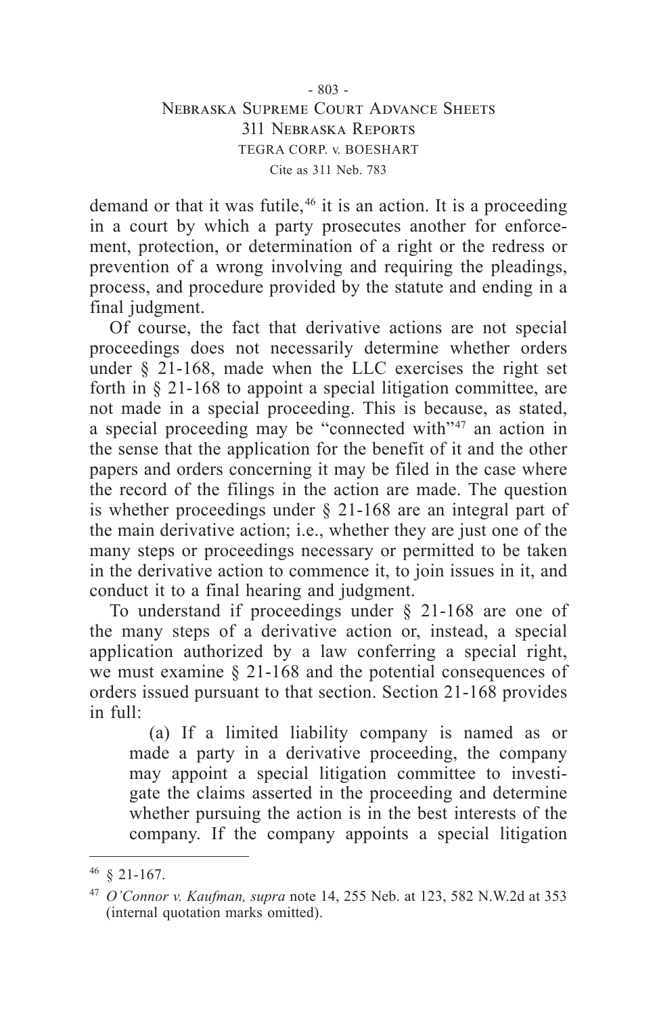### - 803 - Nebraska Supreme Court Advance Sheets 311 Nebraska Reports TEGRA CORP. v. BOESHART Cite as 311 Neb. 783

demand or that it was futile,<sup>46</sup> it is an action. It is a proceeding in a court by which a party prosecutes another for enforcement, protection, or determination of a right or the redress or prevention of a wrong involving and requiring the pleadings, process, and procedure provided by the statute and ending in a final judgment.

Of course, the fact that derivative actions are not special proceedings does not necessarily determine whether orders under  $\S$  21-168, made when the LLC exercises the right set forth in § 21-168 to appoint a special litigation committee, are not made in a special proceeding. This is because, as stated, a special proceeding may be "connected with" $47$  an action in the sense that the application for the benefit of it and the other papers and orders concerning it may be filed in the case where the record of the filings in the action are made. The question is whether proceedings under § 21-168 are an integral part of the main derivative action; i.e., whether they are just one of the many steps or proceedings necessary or permitted to be taken in the derivative action to commence it, to join issues in it, and conduct it to a final hearing and judgment.

To understand if proceedings under § 21-168 are one of the many steps of a derivative action or, instead, a special application authorized by a law conferring a special right, we must examine § 21-168 and the potential consequences of orders issued pursuant to that section. Section 21-168 provides in full:

(a) If a limited liability company is named as or made a party in a derivative proceeding, the company may appoint a special litigation committee to investigate the claims asserted in the proceeding and determine whether pursuing the action is in the best interests of the company. If the company appoints a special litigation

<sup>46</sup> § 21-167.

<sup>47</sup> *O'Connor v. Kaufman, supra* note 14, 255 Neb. at 123, 582 N.W.2d at 353 (internal quotation marks omitted).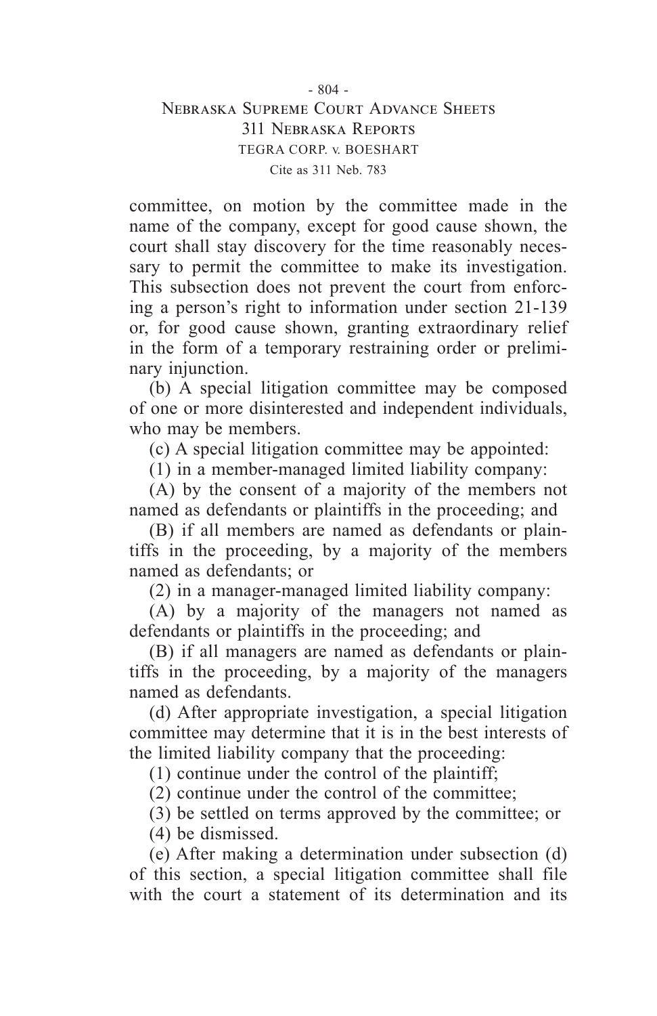# $- 804 -$ Nebraska Supreme Court Advance Sheets 311 Nebraska Reports TEGRA CORP. v. BOESHART Cite as 311 Neb. 783

committee, on motion by the committee made in the name of the company, except for good cause shown, the court shall stay discovery for the time reasonably necessary to permit the committee to make its investigation. This subsection does not prevent the court from enforcing a person's right to information under section 21-139 or, for good cause shown, granting extraordinary relief in the form of a temporary restraining order or preliminary injunction.

(b) A special litigation committee may be composed of one or more disinterested and independent individuals, who may be members.

(c) A special litigation committee may be appointed:

(1) in a member-managed limited liability company:

(A) by the consent of a majority of the members not named as defendants or plaintiffs in the proceeding; and

(B) if all members are named as defendants or plaintiffs in the proceeding, by a majority of the members named as defendants; or

(2) in a manager-managed limited liability company:

(A) by a majority of the managers not named as defendants or plaintiffs in the proceeding; and

(B) if all managers are named as defendants or plaintiffs in the proceeding, by a majority of the managers named as defendants.

(d) After appropriate investigation, a special litigation committee may determine that it is in the best interests of the limited liability company that the proceeding:

(1) continue under the control of the plaintiff;

(2) continue under the control of the committee;

(3) be settled on terms approved by the committee; or

(4) be dismissed.

(e) After making a determination under subsection (d) of this section, a special litigation committee shall file with the court a statement of its determination and its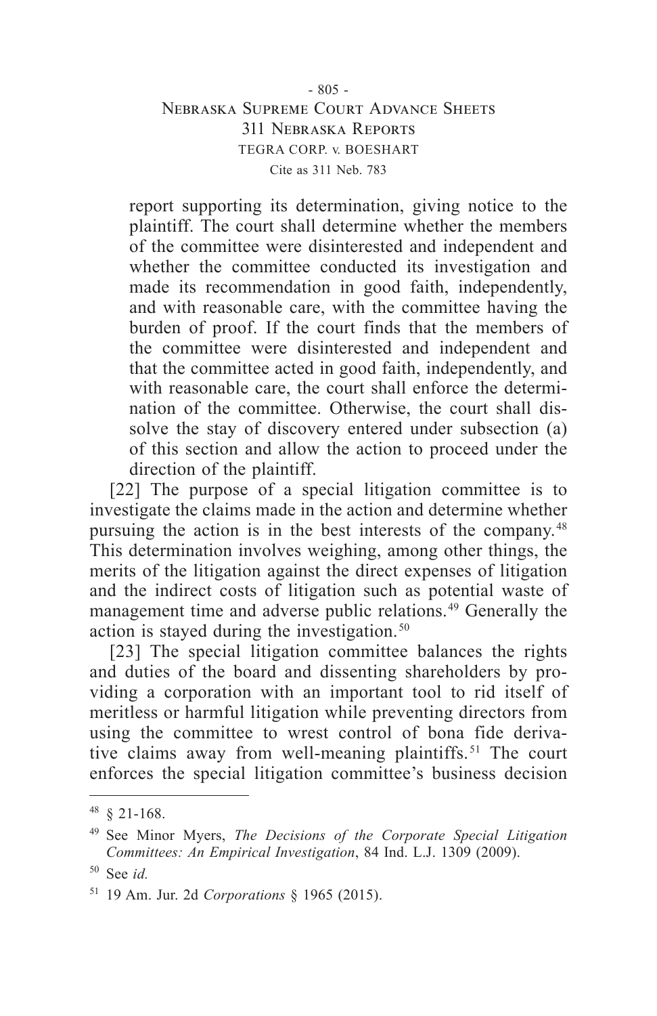# $-805 -$ Nebraska Supreme Court Advance Sheets 311 Nebraska Reports TEGRA CORP. v. BOESHART Cite as 311 Neb. 783

report supporting its determination, giving notice to the plaintiff. The court shall determine whether the members of the committee were disinterested and independent and whether the committee conducted its investigation and made its recommendation in good faith, independently, and with reasonable care, with the committee having the burden of proof. If the court finds that the members of the committee were disinterested and independent and that the committee acted in good faith, independently, and with reasonable care, the court shall enforce the determination of the committee. Otherwise, the court shall dissolve the stay of discovery entered under subsection (a) of this section and allow the action to proceed under the direction of the plaintiff.

[22] The purpose of a special litigation committee is to investigate the claims made in the action and determine whether pursuing the action is in the best interests of the company. 48 This determination involves weighing, among other things, the merits of the litigation against the direct expenses of litigation and the indirect costs of litigation such as potential waste of management time and adverse public relations.<sup>49</sup> Generally the action is stayed during the investigation. 50

[23] The special litigation committee balances the rights and duties of the board and dissenting shareholders by providing a corporation with an important tool to rid itself of meritless or harmful litigation while preventing directors from using the committee to wrest control of bona fide derivative claims away from well-meaning plaintiffs. 51 The court enforces the special litigation committee's business decision

<sup>48</sup> § 21-168.

<sup>49</sup> See Minor Myers, *The Decisions of the Corporate Special Litigation Committees: An Empirical Investigation*, 84 Ind. L.J. 1309 (2009).

<sup>50</sup> See *id.*

<sup>51</sup> 19 Am. Jur. 2d *Corporations* § 1965 (2015).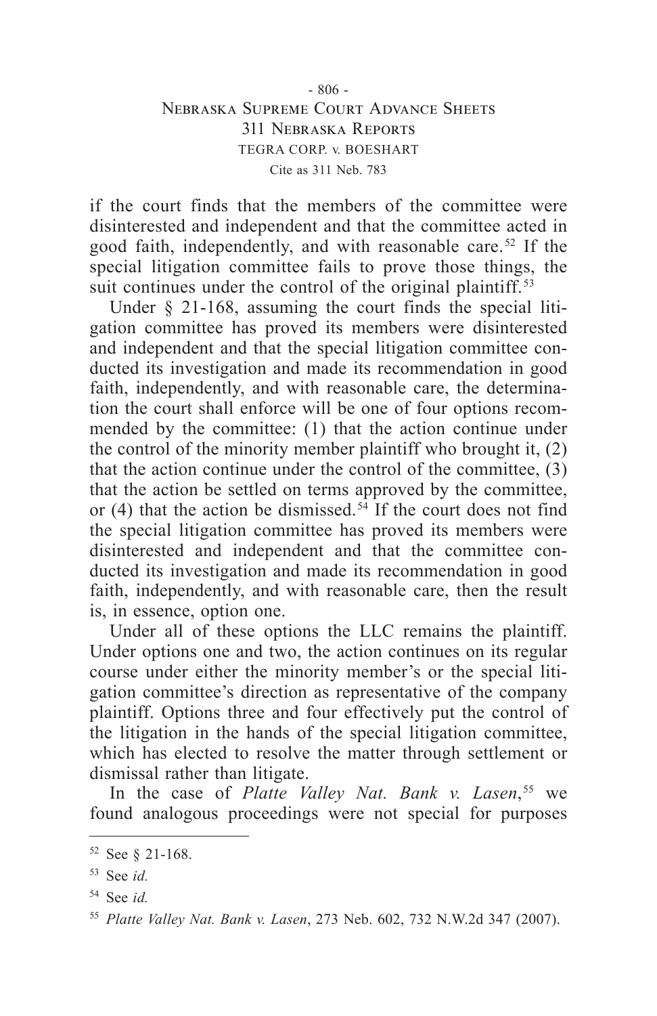## - 806 - Nebraska Supreme Court Advance Sheets 311 Nebraska Reports TEGRA CORP. v. BOESHART Cite as 311 Neb. 783

if the court finds that the members of the committee were disinterested and independent and that the committee acted in good faith, independently, and with reasonable care. 52 If the special litigation committee fails to prove those things, the suit continues under the control of the original plaintiff.<sup>53</sup>

Under § 21-168, assuming the court finds the special litigation committee has proved its members were disinterested and independent and that the special litigation committee conducted its investigation and made its recommendation in good faith, independently, and with reasonable care, the determination the court shall enforce will be one of four options recommended by the committee: (1) that the action continue under the control of the minority member plaintiff who brought it, (2) that the action continue under the control of the committee, (3) that the action be settled on terms approved by the committee, or (4) that the action be dismissed.<sup>54</sup> If the court does not find the special litigation committee has proved its members were disinterested and independent and that the committee conducted its investigation and made its recommendation in good faith, independently, and with reasonable care, then the result is, in essence, option one.

Under all of these options the LLC remains the plaintiff. Under options one and two, the action continues on its regular course under either the minority member's or the special litigation committee's direction as representative of the company plaintiff. Options three and four effectively put the control of the litigation in the hands of the special litigation committee, which has elected to resolve the matter through settlement or dismissal rather than litigate.

In the case of *Platte Valley Nat. Bank v. Lasen*,<sup>55</sup> we found analogous proceedings were not special for purposes

<sup>52</sup> See § 21-168.

<sup>53</sup> See *id.*

<sup>54</sup> See *id.*

<sup>55</sup> *Platte Valley Nat. Bank v. Lasen*, 273 Neb. 602, 732 N.W.2d 347 (2007).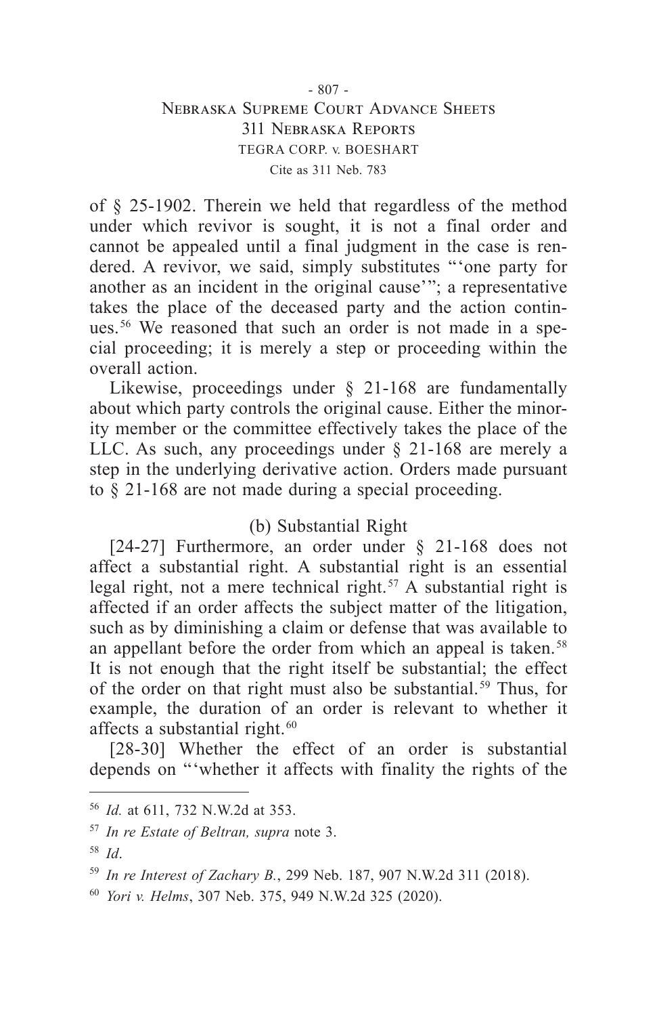## - 807 - Nebraska Supreme Court Advance Sheets 311 Nebraska Reports TEGRA CORP. v. BOESHART Cite as 311 Neb. 783

of § 25-1902. Therein we held that regardless of the method under which revivor is sought, it is not a final order and cannot be appealed until a final judgment in the case is rendered. A revivor, we said, simply substitutes "'one party for another as an incident in the original cause'"; a representative takes the place of the deceased party and the action continues. 56 We reasoned that such an order is not made in a special proceeding; it is merely a step or proceeding within the overall action.

Likewise, proceedings under § 21-168 are fundamentally about which party controls the original cause. Either the minority member or the committee effectively takes the place of the LLC. As such, any proceedings under § 21-168 are merely a step in the underlying derivative action. Orders made pursuant to § 21-168 are not made during a special proceeding.

# (b) Substantial Right

[24-27] Furthermore, an order under § 21-168 does not affect a substantial right. A substantial right is an essential legal right, not a mere technical right. 57 A substantial right is affected if an order affects the subject matter of the litigation, such as by diminishing a claim or defense that was available to an appellant before the order from which an appeal is taken. 58 It is not enough that the right itself be substantial; the effect of the order on that right must also be substantial. 59 Thus, for example, the duration of an order is relevant to whether it affects a substantial right. 60

[28-30] Whether the effect of an order is substantial depends on "'whether it affects with finality the rights of the

<sup>56</sup> *Id.* at 611, 732 N.W.2d at 353.

<sup>57</sup> *In re Estate of Beltran, supra* note 3.

<sup>58</sup> *Id*.

<sup>59</sup> *In re Interest of Zachary B.*, 299 Neb. 187, 907 N.W.2d 311 (2018).

<sup>60</sup> *Yori v. Helms*, 307 Neb. 375, 949 N.W.2d 325 (2020).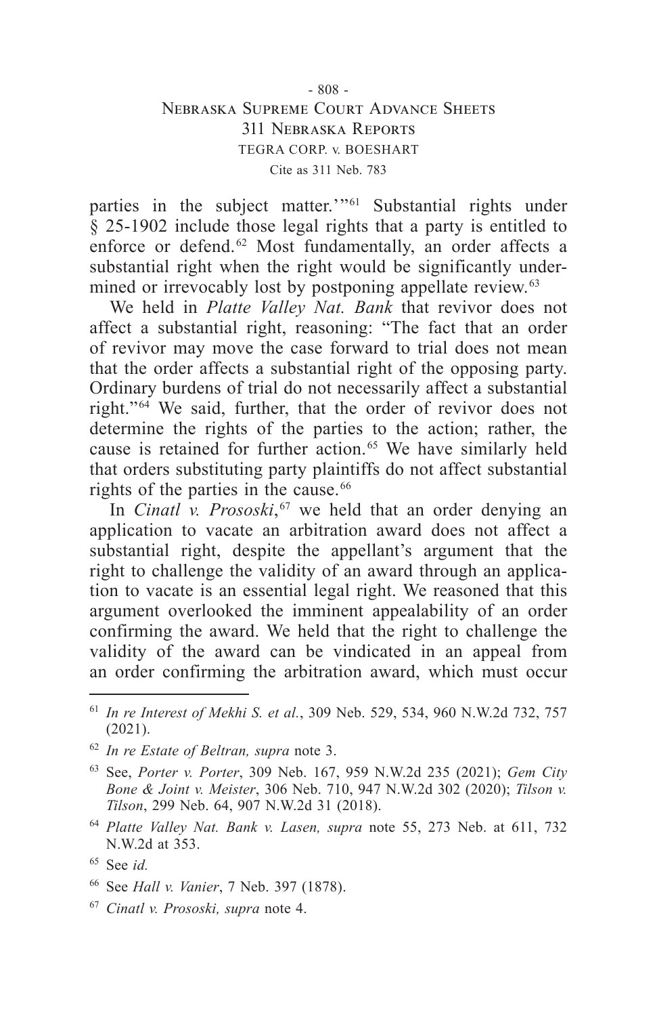### - 808 - Nebraska Supreme Court Advance Sheets 311 Nebraska Reports TEGRA CORP. v. BOESHART Cite as 311 Neb. 783

parties in the subject matter."<sup>61</sup> Substantial rights under § 25-1902 include those legal rights that a party is entitled to enforce or defend.<sup>62</sup> Most fundamentally, an order affects a substantial right when the right would be significantly undermined or irrevocably lost by postponing appellate review. 63

We held in *Platte Valley Nat. Bank* that revivor does not affect a substantial right, reasoning: "The fact that an order of revivor may move the case forward to trial does not mean that the order affects a substantial right of the opposing party. Ordinary burdens of trial do not necessarily affect a substantial right."<sup>64</sup> We said, further, that the order of revivor does not determine the rights of the parties to the action; rather, the cause is retained for further action. 65 We have similarly held that orders substituting party plaintiffs do not affect substantial rights of the parties in the cause. 66

In *Cinatl v. Prososki*,<sup>67</sup> we held that an order denying an application to vacate an arbitration award does not affect a substantial right, despite the appellant's argument that the right to challenge the validity of an award through an application to vacate is an essential legal right. We reasoned that this argument overlooked the imminent appealability of an order confirming the award. We held that the right to challenge the validity of the award can be vindicated in an appeal from an order confirming the arbitration award, which must occur

<sup>61</sup> *In re Interest of Mekhi S. et al.*, 309 Neb. 529, 534, 960 N.W.2d 732, 757 (2021).

<sup>62</sup> *In re Estate of Beltran, supra* note 3.

<sup>63</sup> See, *Porter v. Porter*, 309 Neb. 167, 959 N.W.2d 235 (2021); *Gem City Bone & Joint v. Meister*, 306 Neb. 710, 947 N.W.2d 302 (2020); *Tilson v. Tilson*, 299 Neb. 64, 907 N.W.2d 31 (2018).

<sup>64</sup> *Platte Valley Nat. Bank v. Lasen, supra* note 55, 273 Neb. at 611, 732 N.W.2d at 353.

<sup>65</sup> See *id.*

<sup>66</sup> See *Hall v. Vanier*, 7 Neb. 397 (1878).

<sup>67</sup> *Cinatl v. Prososki, supra* note 4.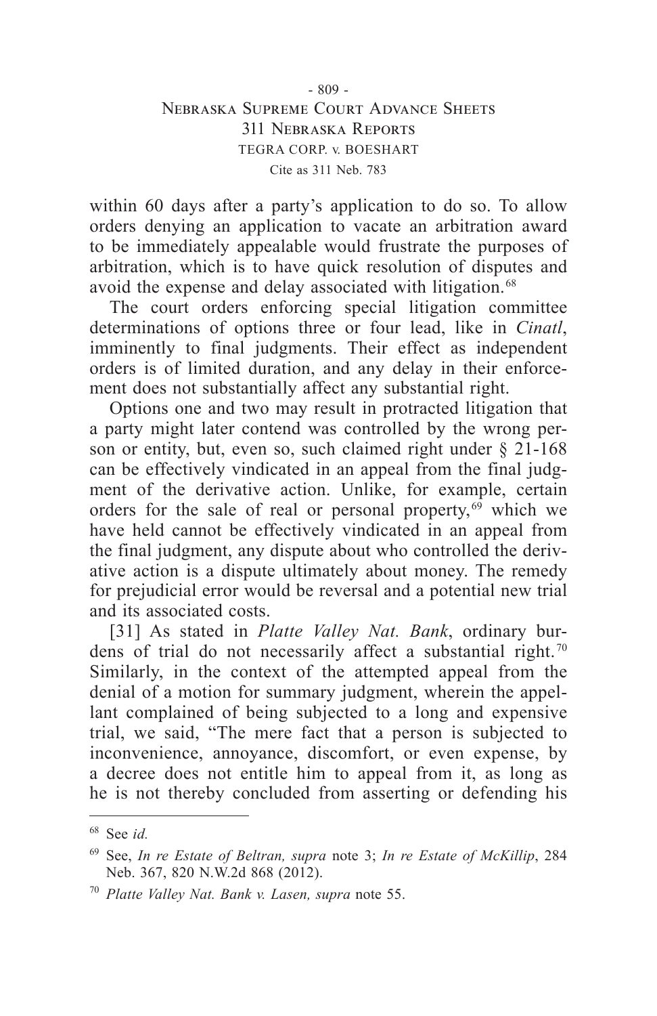## - 809 - Nebraska Supreme Court Advance Sheets 311 Nebraska Reports TEGRA CORP. v. BOESHART Cite as 311 Neb. 783

within 60 days after a party's application to do so. To allow orders denying an application to vacate an arbitration award to be immediately appealable would frustrate the purposes of arbitration, which is to have quick resolution of disputes and avoid the expense and delay associated with litigation. 68

The court orders enforcing special litigation committee determinations of options three or four lead, like in *Cinatl*, imminently to final judgments. Their effect as independent orders is of limited duration, and any delay in their enforcement does not substantially affect any substantial right.

Options one and two may result in protracted litigation that a party might later contend was controlled by the wrong person or entity, but, even so, such claimed right under  $\S$  21-168 can be effectively vindicated in an appeal from the final judgment of the derivative action. Unlike, for example, certain orders for the sale of real or personal property, $69$  which we have held cannot be effectively vindicated in an appeal from the final judgment, any dispute about who controlled the derivative action is a dispute ultimately about money. The remedy for prejudicial error would be reversal and a potential new trial and its associated costs.

[31] As stated in *Platte Valley Nat. Bank*, ordinary burdens of trial do not necessarily affect a substantial right. 70 Similarly, in the context of the attempted appeal from the denial of a motion for summary judgment, wherein the appellant complained of being subjected to a long and expensive trial, we said, "The mere fact that a person is subjected to inconvenience, annoyance, discomfort, or even expense, by a decree does not entitle him to appeal from it, as long as he is not thereby concluded from asserting or defending his

<sup>68</sup> See *id.*

<sup>69</sup> See, *In re Estate of Beltran, supra* note 3; *In re Estate of McKillip*, 284 Neb. 367, 820 N.W.2d 868 (2012).

<sup>70</sup> *Platte Valley Nat. Bank v. Lasen, supra* note 55.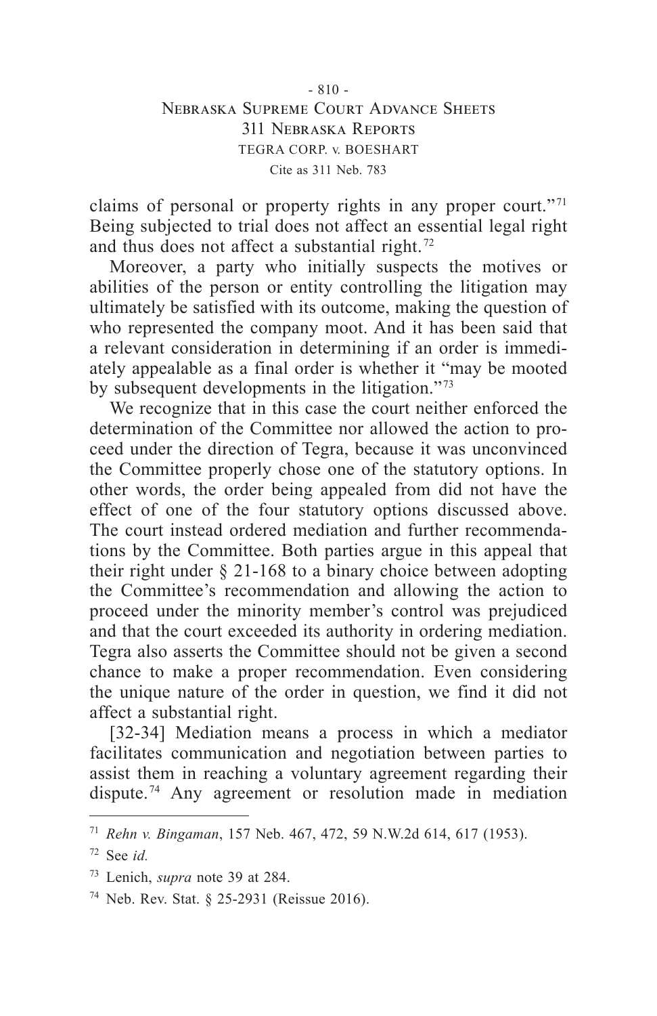### $-810 -$ Nebraska Supreme Court Advance Sheets 311 Nebraska Reports TEGRA CORP. v. BOESHART Cite as 311 Neb. 783

claims of personal or property rights in any proper court." 71 Being subjected to trial does not affect an essential legal right and thus does not affect a substantial right. 72

Moreover, a party who initially suspects the motives or abilities of the person or entity controlling the litigation may ultimately be satisfied with its outcome, making the question of who represented the company moot. And it has been said that a relevant consideration in determining if an order is immediately appealable as a final order is whether it "may be mooted by subsequent developments in the litigation." 73

We recognize that in this case the court neither enforced the determination of the Committee nor allowed the action to proceed under the direction of Tegra, because it was unconvinced the Committee properly chose one of the statutory options. In other words, the order being appealed from did not have the effect of one of the four statutory options discussed above. The court instead ordered mediation and further recommendations by the Committee. Both parties argue in this appeal that their right under § 21-168 to a binary choice between adopting the Committee's recommendation and allowing the action to proceed under the minority member's control was prejudiced and that the court exceeded its authority in ordering mediation. Tegra also asserts the Committee should not be given a second chance to make a proper recommendation. Even considering the unique nature of the order in question, we find it did not affect a substantial right.

[32-34] Mediation means a process in which a mediator facilitates communication and negotiation between parties to assist them in reaching a voluntary agreement regarding their dispute.<sup>74</sup> Any agreement or resolution made in mediation

<sup>71</sup> *Rehn v. Bingaman*, 157 Neb. 467, 472, 59 N.W.2d 614, 617 (1953).

<sup>72</sup> See *id.*

<sup>73</sup> Lenich, *supra* note 39 at 284.

<sup>74</sup> Neb. Rev. Stat. § 25-2931 (Reissue 2016).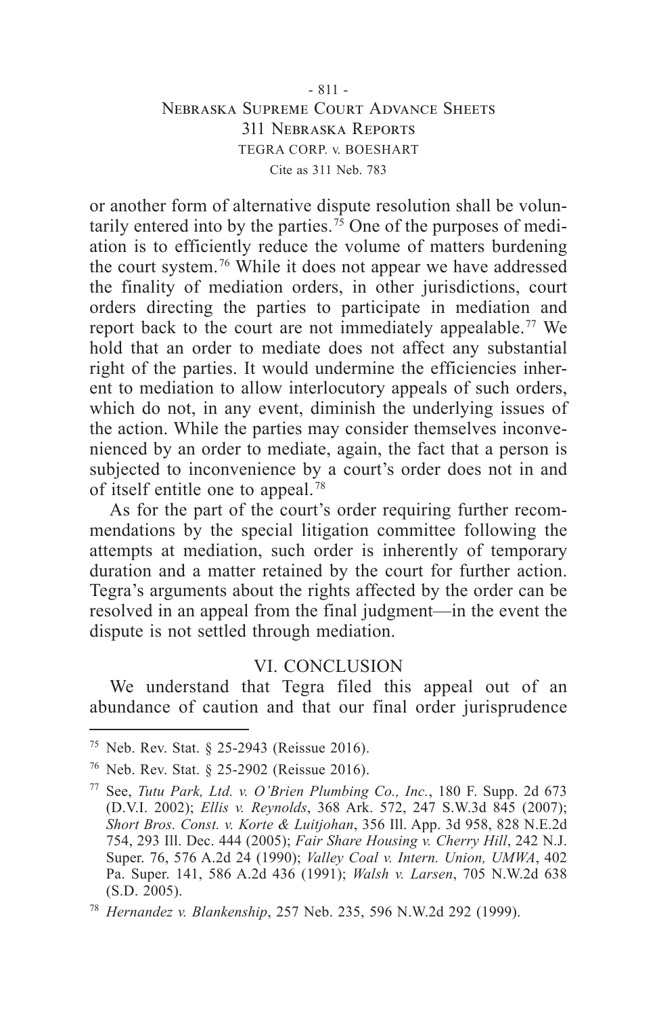### - 811 - Nebraska Supreme Court Advance Sheets 311 Nebraska Reports TEGRA CORP. v. BOESHART Cite as 311 Neb. 783

or another form of alternative dispute resolution shall be voluntarily entered into by the parties.<sup> $75$ </sup> One of the purposes of mediation is to efficiently reduce the volume of matters burdening the court system. 76 While it does not appear we have addressed the finality of mediation orders, in other jurisdictions, court orders directing the parties to participate in mediation and report back to the court are not immediately appealable. 77 We hold that an order to mediate does not affect any substantial right of the parties. It would undermine the efficiencies inherent to mediation to allow interlocutory appeals of such orders, which do not, in any event, diminish the underlying issues of the action. While the parties may consider themselves inconvenienced by an order to mediate, again, the fact that a person is subjected to inconvenience by a court's order does not in and of itself entitle one to appeal. 78

As for the part of the court's order requiring further recommendations by the special litigation committee following the attempts at mediation, such order is inherently of temporary duration and a matter retained by the court for further action. Tegra's arguments about the rights affected by the order can be resolved in an appeal from the final judgment—in the event the dispute is not settled through mediation.

## VI. CONCLUSION

We understand that Tegra filed this appeal out of an abundance of caution and that our final order jurisprudence

<sup>&</sup>lt;sup>75</sup> Neb. Rev. Stat. § 25-2943 (Reissue 2016).

<sup>76</sup> Neb. Rev. Stat. § 25-2902 (Reissue 2016).

<sup>77</sup> See, *Tutu Park, Ltd. v. O'Brien Plumbing Co., Inc.*, 180 F. Supp. 2d 673 (D.V.I. 2002); *Ellis v. Reynolds*, 368 Ark. 572, 247 S.W.3d 845 (2007); *Short Bros. Const. v. Korte & Luitjohan*, 356 Ill. App. 3d 958, 828 N.E.2d 754, 293 Ill. Dec. 444 (2005); *Fair Share Housing v. Cherry Hill*, 242 N.J. Super. 76, 576 A.2d 24 (1990); *Valley Coal v. Intern. Union, UMWA*, 402 Pa. Super. 141, 586 A.2d 436 (1991); *Walsh v. Larsen*, 705 N.W.2d 638 (S.D. 2005).

<sup>78</sup> *Hernandez v. Blankenship*, 257 Neb. 235, 596 N.W.2d 292 (1999).